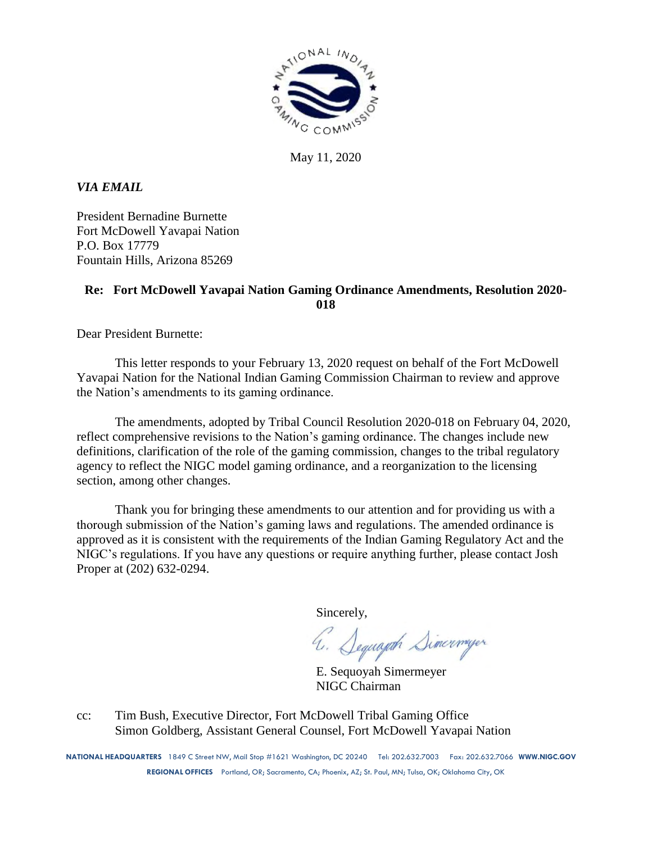

May 11, 2020

*VIA EMAIL*

President Bernadine Burnette Fort McDowell Yavapai Nation P.O. Box 17779 Fountain Hills, Arizona 85269

# **Re: Fort McDowell Yavapai Nation Gaming Ordinance Amendments, Resolution 2020- 018**

Dear President Burnette:

This letter responds to your February 13, 2020 request on behalf of the Fort McDowell Yavapai Nation for the National Indian Gaming Commission Chairman to review and approve the Nation's amendments to its gaming ordinance.

The amendments, adopted by Tribal Council Resolution 2020-018 on February 04, 2020, reflect comprehensive revisions to the Nation's gaming ordinance. The changes include new definitions, clarification of the role of the gaming commission, changes to the tribal regulatory agency to reflect the NIGC model gaming ordinance, and a reorganization to the licensing section, among other changes.

Thank you for bringing these amendments to our attention and for providing us with a thorough submission of the Nation's gaming laws and regulations. The amended ordinance is approved as it is consistent with the requirements of the Indian Gaming Regulatory Act and the NIGC's regulations. If you have any questions or require anything further, please contact Josh Proper at (202) 632-0294.

Sincerely,

4. Sequapt Simerweger

E. Sequoyah Simermeyer NIGC Chairman

cc: Tim Bush, Executive Director, Fort McDowell Tribal Gaming Office Simon Goldberg, Assistant General Counsel, Fort McDowell Yavapai Nation

**NATIONAL HEADQUARTERS** 1849 C Street NW, Mail Stop #1621 Washington, DC 20240 Tel: 202.632.7003 Fax: 202.632.7066 **WWW.NIGC.GOV REGIONAL OFFICES** Portland, OR; Sacramento, CA; Phoenix, AZ; St. Paul, MN; Tulsa, OK; Oklahoma City, OK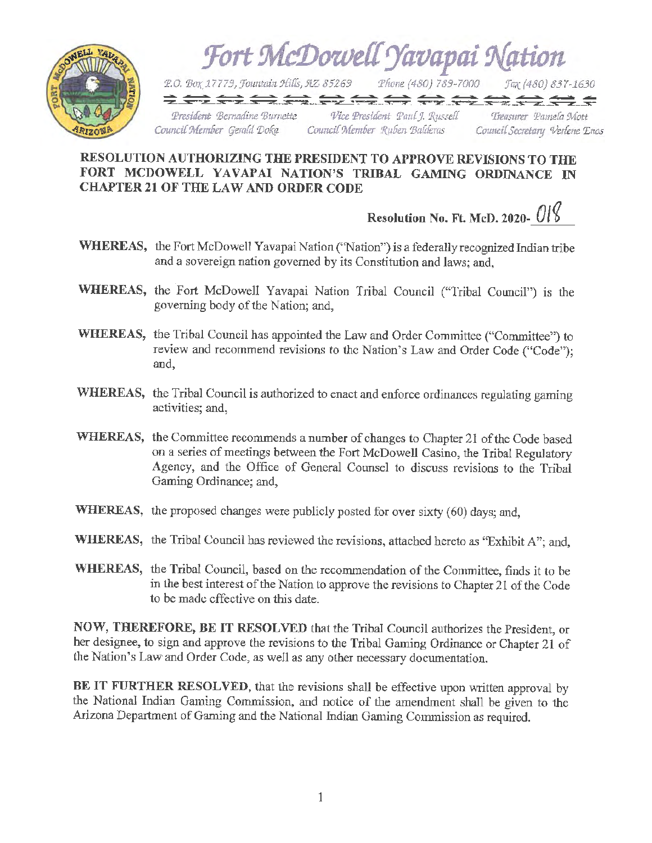

# **RESOLUTION AUTHORIZING THE PRESIDENT TO APPROVE REVISIONS TO THE FORT MCDOWELL YAVAPAI NATION'S TRIBAL GAMING ORDINANCE IN CHAPTER 21 OF THE LAW AND ORDER CODE**

**Resolution No. Ft. McD. 2020-** *o,i* 

- **WHEREAS,** the Fort McDowell Yavapai Nation ("Nation") is a federally recognized Indian tribe and a sovereign nation governed by its Constitution and laws; and,
- **WHEREAS,** the Fort McDowell Yavapai Nation Tribal Council ("Tribal Council") is the governing body of the Nation; and,
- **WHEREAS,** the Tribal Council has appointed the Law and Order Committee ("Committee") to review and recommend revisions to the Nation's Law and Order Code ("Code"); and,
- **WHEREAS,** the Tribal Council is authorized to enact and enforce ordinances regulating gaming activities; and,
- **WHEREAS,** the Committee recommends a number of changes to Chapter 21 of the Code based on a series of meetings between the Fort McDowell Casino, the Tribal Regulatory Agency, and the Office of General Counsel to discuss revisions to the Tribal Gaming Ordinance; and,
- WHEREAS, the proposed changes were publicly posted for over sixty (60) days; and,
- WHEREAS, the Tribal Council has reviewed the revisions, attached hereto as "Exhibit A"; and,
- **WHEREAS,** the Tribal Council, based on the recommendation of the Committee, finds it to be in the best interest of the Nation to approve the revisions to Chapter 21 of the Code to be made effective on this date.

**NOW, THEREFORE, BE IT RESOLVED** that the Tribal Council authorizes the President, or her designee, to sign and approve the revisions to the Tribal Gaming Ordinance or Chapter 21 of the Nation's Law and Order Code, *as* well as any other necessary documentation.

**BE IT FURTHER RESOLVED,** that the revisions shall be effective upon written approval by the National Indian Gaming Commission, and notice of the amendment shall be given to the Arizona Department of Gaming and the National Indian Gaming Commission as required.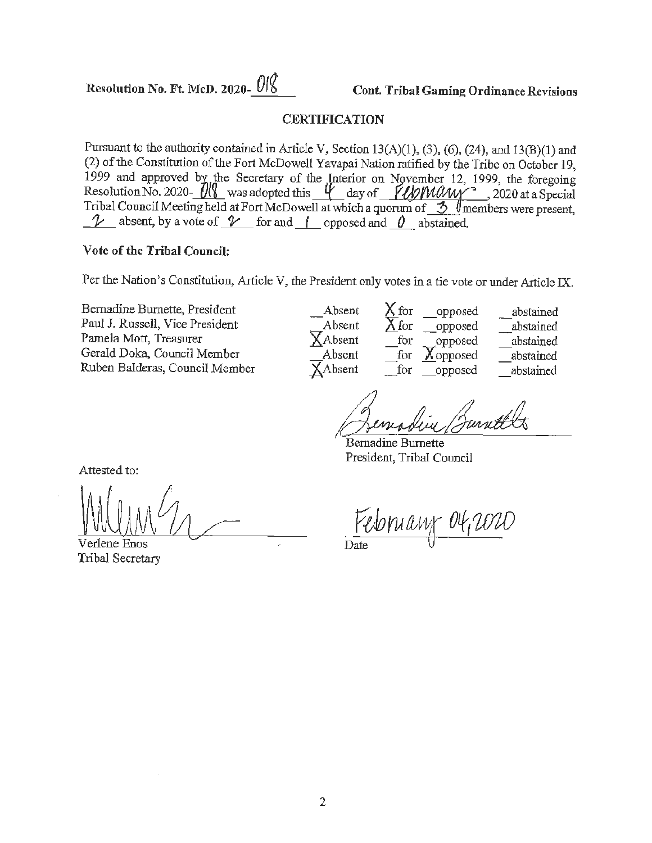Resolution No. Ft. McD. 2020- $\frac{018}{00}$  Cont. Tribal Gaming Ordinance Revisions

# **CERTIFICATION**

Pursuant to the authority contained in Article V, Section 13(A)(l), (3), (6), (24), and 13(B)(l) and (2) of the Constitution of the Fort McDoweU Yavapai Nation ratified by the Tribe on October 19, (2) of the Constitution of the Fort McDowell Yavapai Nation ratified by the Tribe on October 19,<br>1999 and approved by the Secretary of the Interior on November 12, 1999, the foregoing Resolution No. 2020- $\frac{1}{8}$  was adopted this  $\frac{1}{10}$  day of  $\frac{1}{10}$  May 2020 at a Special Tribal Council Meeting held at Fort McDowell at which a quorum of  $\frac{3}{\sqrt{2}}$  members were present,  $\frac{1}{\sqrt{2}}$  absent, by a vote of  $\frac{1}{\sqrt{2}}$  for and  $\frac{1}{\sqrt{2}}$  opposed and  $\frac{0}{\sqrt{2}}$  abstained.

# **Vote of the Tribal Council:**

Per the Nation's Constitution, Article V, the President only votes in a tie vote or under Article IX.

| $\lambda$ or the Franch S Constitution, Article $\lambda$ , the Fresident only votes in a tie vote of things Article IA.                                    |                                                                 |                                                                                                                           |                                                               |  |
|-------------------------------------------------------------------------------------------------------------------------------------------------------------|-----------------------------------------------------------------|---------------------------------------------------------------------------------------------------------------------------|---------------------------------------------------------------|--|
| Bernadine Burnette, President<br>Paul J. Russell, Vice President<br>Pamela Mott, Treasurer<br>Gerald Doka, Council Member<br>Ruben Balderas, Council Member | Absent<br>Absent<br>$\chi$ Absent<br>Absent<br>$\lambda$ Absent | fог<br>opposed<br>X for<br>opposed<br>for<br>opposed<br>$\blacktriangledown$<br>for<br><b>A</b> opposed<br>for<br>opposed | abstained<br>abstained<br>abstained<br>abstained<br>abstained |  |
| Attested to:                                                                                                                                                |                                                                 | Bernadine Burnette<br>President, Tribal Council                                                                           |                                                               |  |

Verlene Enos Tribal Secretary

President, Tribal Council

February 04,2020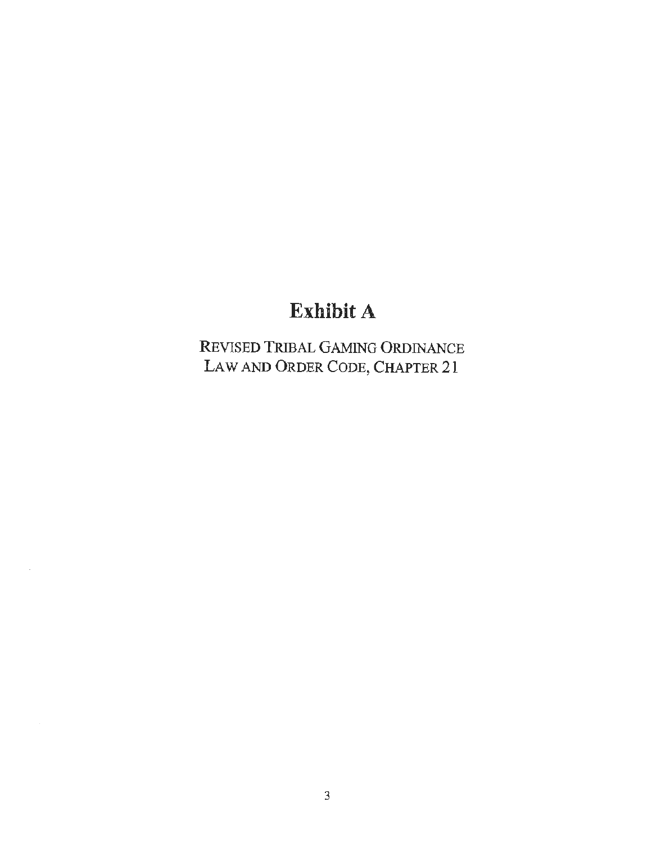# **Exhibit A**

REVISED TRIBAL GAMlNG ORDINANCE LAW AND ORDER CODE, CHAPTER 21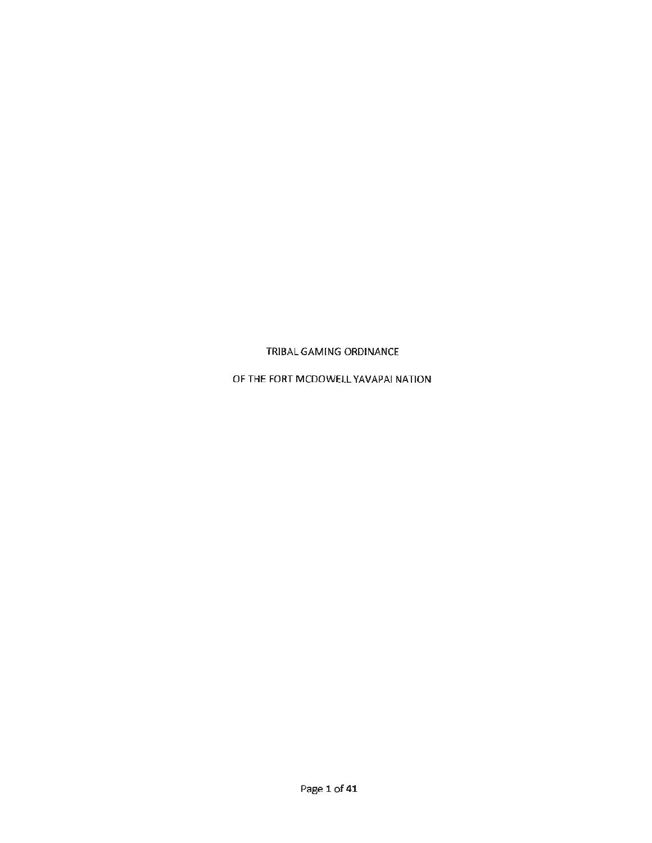TRIBAL GAMING ORDINANCE

OF THE FORT MCDOWELL YAVAPAI NATION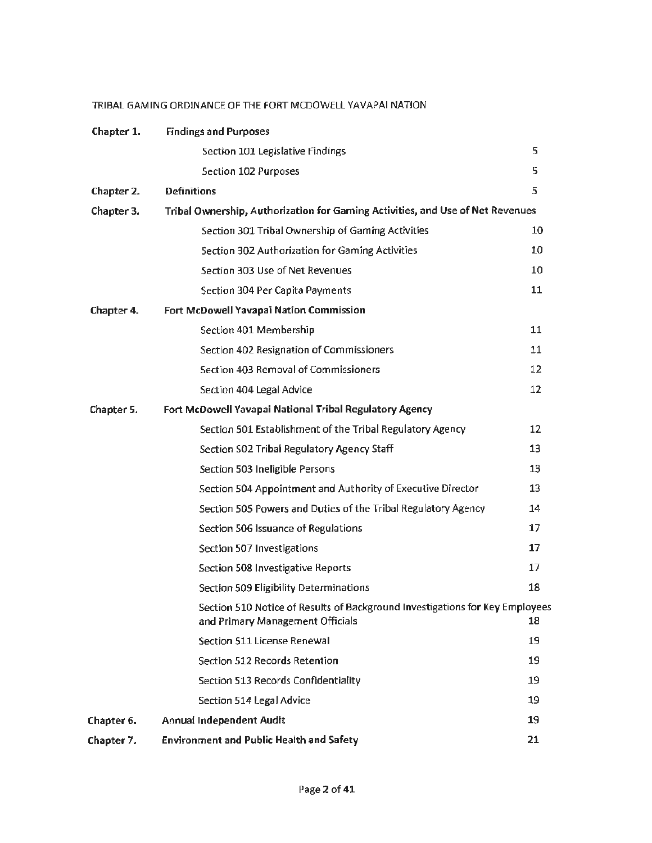# TRIBAL GAMING ORDINANCE OF THE FORT MCDOWELL YAVAPAI NATION

| Chapter 1. | <b>Findings and Purposes</b>                                                                                     |    |  |
|------------|------------------------------------------------------------------------------------------------------------------|----|--|
|            | Section 101 Legislative Findings                                                                                 | 5  |  |
|            | Section 102 Purposes                                                                                             | 5  |  |
| Chapter 2. | <b>Definitions</b>                                                                                               | 5  |  |
| Chapter 3. | Tribal Ownership, Authorization for Gaming Activities, and Use of Net Revenues                                   |    |  |
|            | Section 301 Tribal Ownership of Gaming Activities                                                                | 10 |  |
|            | Section 302 Authorization for Gaming Activities                                                                  | 10 |  |
|            | Section 303 Use of Net Revenues                                                                                  | 10 |  |
|            | Section 304 Per Capita Payments                                                                                  | 11 |  |
| Chapter 4. | Fort McDowell Yavapai Nation Commission                                                                          |    |  |
|            | Section 401 Membership                                                                                           | 11 |  |
|            | Section 402 Resignation of Commissioners                                                                         | 11 |  |
|            | Section 403 Removal of Commissioners                                                                             | 12 |  |
|            | Section 404 Legal Advice                                                                                         | 12 |  |
| Chapter 5. | Fort McDowell Yavapai National Tribal Regulatory Agency                                                          |    |  |
|            | Section 501 Establishment of the Tribal Regulatory Agency                                                        | 12 |  |
|            | Section SO2 Tribal Regulatory Agency Staff                                                                       | 13 |  |
|            | Section 503 Ineligible Persons                                                                                   | 13 |  |
|            | Section 504 Appointment and Authority of Executive Director                                                      | 13 |  |
|            | Section 505 Powers and Duties of the Tribal Regulatory Agency                                                    | 14 |  |
|            | Section 506 Issuance of Regulations                                                                              | 17 |  |
|            | Section 507 Investigations                                                                                       | 17 |  |
|            | Section 508 Investigative Reports                                                                                | 17 |  |
|            | <b>Section 509 Eligibility Determinations</b>                                                                    | 18 |  |
|            | Section 510 Notice of Results of Background Investigations for Key Employees<br>and Primary Management Officials | 18 |  |
|            | Section 511 License Renewal                                                                                      | 19 |  |
|            | Section 512 Records Retention                                                                                    | 19 |  |
|            | Section 513 Records Confidentiality                                                                              | 19 |  |
|            | Section 514 Legal Advice                                                                                         | 19 |  |
| Chapter 6. | <b>Annual Independent Audit</b>                                                                                  | 19 |  |
| Chapter 7. | <b>Environment and Public Health and Safety</b>                                                                  | 21 |  |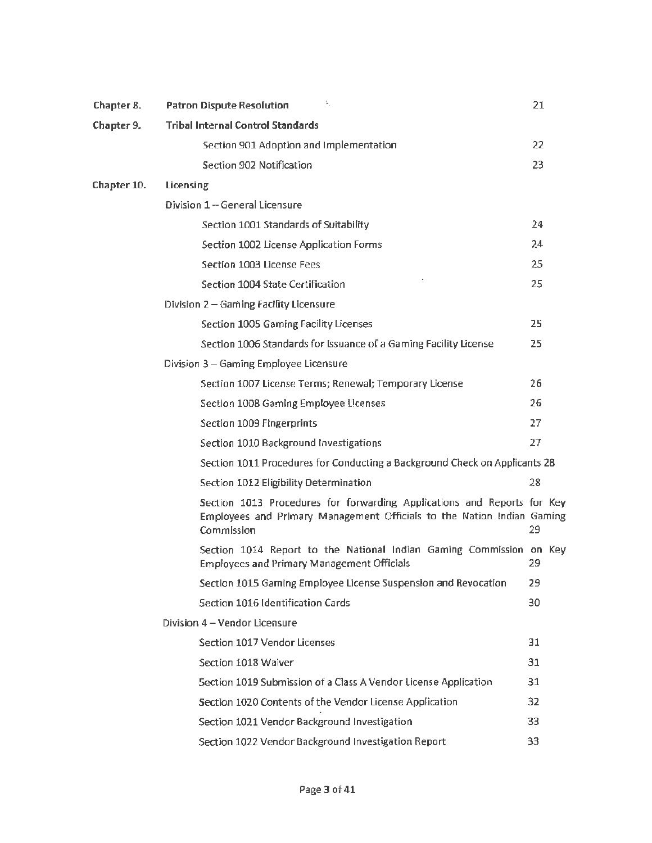| Chapter 8.  | ÷.<br><b>Patron Dispute Resolution</b>                                                                                                                          | 21  |  |
|-------------|-----------------------------------------------------------------------------------------------------------------------------------------------------------------|-----|--|
| Chapter 9.  | <b>Tribal Internal Control Standards</b>                                                                                                                        |     |  |
|             | Section 901 Adoption and Implementation                                                                                                                         | 22  |  |
|             | Section 902 Notification                                                                                                                                        | 23  |  |
| Chapter 10. | Licensing                                                                                                                                                       |     |  |
|             | Division 1 - General Licensure                                                                                                                                  |     |  |
|             | Section 1001 Standards of Suitability                                                                                                                           | 24  |  |
|             | Section 1002 License Application Forms                                                                                                                          | 24  |  |
|             | Section 1003 License Fees                                                                                                                                       | 25  |  |
|             | Section 1004 State Certification                                                                                                                                | 25  |  |
|             | Division 2 - Gaming Facility Licensure                                                                                                                          |     |  |
|             | Section 1005 Gaming Facility Licenses                                                                                                                           | 25  |  |
|             | Section 1006 Standards for Issuance of a Gaming Facility License                                                                                                | 25  |  |
|             | Division 3 - Gaming Employee Licensure                                                                                                                          |     |  |
|             | Section 1007 License Terms; Renewal; Temporary License                                                                                                          | 26  |  |
|             | Section 1008 Gaming Employee Licenses                                                                                                                           | 26  |  |
|             | Section 1009 Fingerprints                                                                                                                                       | 27  |  |
|             | Section 1010 Background Investigations                                                                                                                          | 27  |  |
|             | Section 1011 Procedures for Conducting a Background Check on Applicants 28                                                                                      |     |  |
|             | Section 1012 Eligibility Determination                                                                                                                          | 28  |  |
|             | Section 1013 Procedures for forwarding Applications and Reports for Key<br>Employees and Primary Management Officials to the Nation Indian Gaming<br>Commission | 29  |  |
|             | Section 1014 Report to the National Indian Gaming Commission on Key<br><b>Employees and Primary Management Officials</b>                                        | 29. |  |
|             | Section 1015 Gaming Employee License Suspension and Revocation                                                                                                  | 29  |  |
|             | <b>Section 1016 Identification Cards</b>                                                                                                                        | 30  |  |
|             | Division 4 - Vendor Licensure                                                                                                                                   |     |  |
|             | Section 1017 Vendor Licenses                                                                                                                                    | 31  |  |
|             | Section 1018 Waiver                                                                                                                                             | 31  |  |
|             | Section 1019 Submission of a Class A Vendor License Application                                                                                                 | 31  |  |
|             | Section 1020 Contents of the Vendor License Application                                                                                                         | 32  |  |
|             | Section 1021 Vendor Background Investigation                                                                                                                    | 33  |  |
|             | Section 1022 Vendor Background Investigation Report                                                                                                             | 33  |  |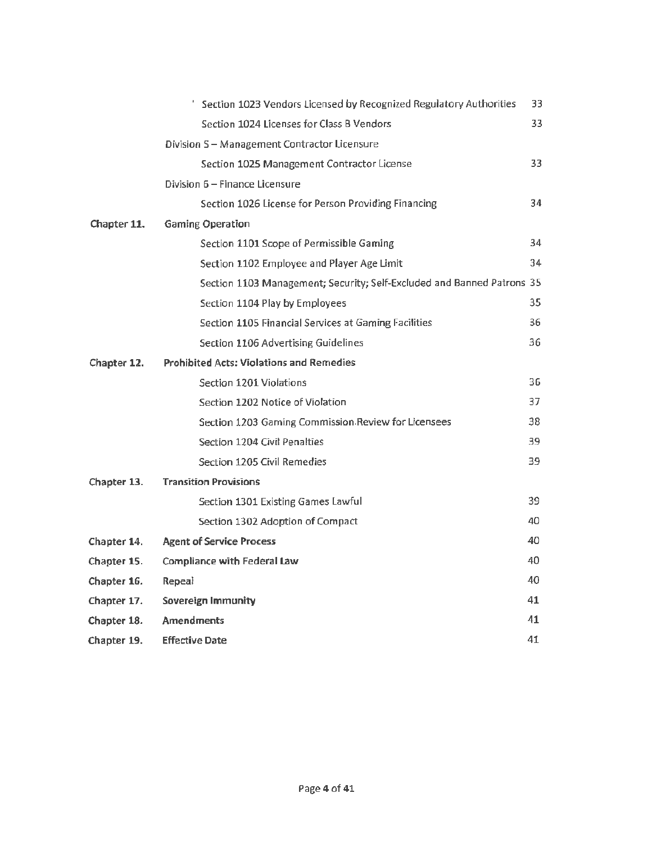|             | Section 1023 Vendors Licensed by Recognized Regulatory Authorities     | 33  |
|-------------|------------------------------------------------------------------------|-----|
|             | Section 1024 Licenses for Class B Vendors                              | 33. |
|             | Division S - Management Contractor Licensure                           |     |
|             | Section 1025 Management Contractor License                             | 33. |
|             | Division 6 - Finance Licensure                                         |     |
|             | Section 1026 License for Person Providing Financing                    | 34  |
| Chapter 11. | <b>Gaming Operation</b>                                                |     |
|             | Section 1101 Scope of Permissible Gaming                               | 34  |
|             | Section 1102 Employee and Player Age Limit                             | 34  |
|             | Section 1103 Management; Security; Self-Excluded and Banned Patrons 35 |     |
|             | Section 1104 Play by Employees                                         | 35  |
|             | Section 1105 Financial Services at Gaming Facilities                   | 36  |
|             | Section 1106 Advertising Guidelines                                    | 36  |
| Chapter 12. | <b>Prohibited Acts: Violations and Remedies</b>                        |     |
|             | Section 1201 Violations                                                | 36  |
|             | Section 1202 Notice of Violation                                       | 37. |
|             | Section 1203 Gaming Commission Review for Licensees                    | 38  |
|             | Section 1204 Civil Penalties                                           | 39  |
|             | Section 1205 Civil Remedies                                            | 39. |
| Chapter 13. | <b>Transition Provisions</b>                                           |     |
|             | Section 1301 Existing Games Lawful                                     | 39  |
|             | Section 1302 Adoption of Compact                                       | 40  |
| Chapter 14. | <b>Agent of Service Process</b>                                        | 40  |
| Chapter 15. | <b>Compliance with Federal Law</b>                                     | 40  |
| Chapter 16. | <b>Repeal</b>                                                          | 40  |
| Chapter 17. | Sovereign Immunity                                                     | 41  |
| Chapter 18. | <b>Amendments</b>                                                      | 41  |
| Chapter 19. | <b>Effective Date</b>                                                  | 41  |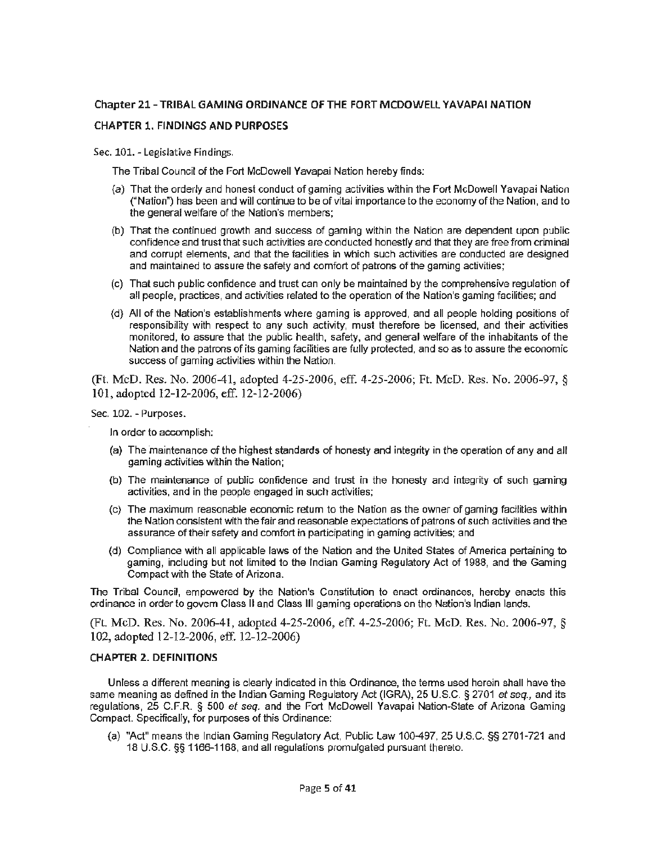# **Chapter 21-TRIBAL GAMING ORDINANCE OF THE FORT MCDOWELL YAVAPAI NATION**

# **CHAPTER 1. FINDINGS ANO PURPOSES**

Sec. 101. - Legislative Findings.

The Tribal Council of the Fort McDowell Yavapai Nation hereby finds:

- (a) That the orderly and honest conduct of gaming activities within the Fort McDowell Yavapai Nation ("Nation") has been and will continue to be of vital importance to the economy of the Nation, and to the general welfare of the Nation's members;
- (b) That the continued growth and success of gaming within the Nation are dependent upon public confidence and trust that such activities are conducted honestly and that they are free from criminal and corrupt elements, and that the facilities in which such activities are conducted are designed and maintained to assure the safety and comfort of patrons of the gaming activities;
- (c) That such public confidence and trust can only be maintained by the comprehensive regulation of all people, practices, and activities related to the operation of the Nation's gaming facilities; and
- (d) All of the Nation's establishments where gaming is approved, and all people holding positions of responsibility with respect to any such activity, must therefore be licensed, and their activities monitored, to assure that the public health, safety, and general welfare of the inhabitants of the Nation and the patrons of its gaming facilities are fully protected, and so as to assure the economic success of gaming activities within the Nation.

(Ft. McD. Res. No. 2006-41, adopted 4-25-2006, eff. 4-25-2006; Ft. McD. Res. No. 2006-97, § 101, adopted 12-12-2006, eff. 12-12-2006)

Sec. 102. - Purposes.

ln order to accomplish;

- (a) The maintenance of the highest standards of honesty and integrity in the operation of any and all gaming activities within the Nation;
- (b) The maintenance of public confidence and trust in the honesty and integrity of such gaming activities, and in the people engaged in such activities;
- (c) The maximum reasonable economic return to the Nation as the owner of gaming facilities within the Nation consistent with the fair and reasonable expectations of patrons of such activities and the assurance of their safety and comfort in participating in gaming activities; and
- (d) Compliance with all applicable laws of the Nation and the United States of America pertaining to gaming, including but not limited to the Indian Gaming Regulatory Act of 1988, and the Gaming Compact with the State of Arizona.

The Tribal Council, empowered by the Nation's Constitution to enact ordinances, hereby enacts this ordinance in order to govern Class II and Class Ill gaming operations on the Nation's Indian lands.

(FL McD. Res. No. 2006-41, adopted 4-25-2006, eff. 4-25-2006; Ft. McD. Res. No. 2006-97, § 102, adopted 12-12-2006, eff. 12-12-2006)

## **CHAPTER 2. DEFINITIONS**

Unless a different meaning is clearly indicated in this Ordinance, the terms used herein shall have the same meaning as defined in the Indian Gaming Regulatory Act (IGRA), 25 U.S.C. § 2701 et seq., and its regulations, 25 C.F.R. § 500 et seq. and the Fort McDowell Yavapai Nation-State of Arizona Gaming Compact. Specifically, for purposes of this Ordinance:

(a) "Act" means the Indian Gaming Regulatory Act, Public law 100-497, 25 U.S.C. §§ 2701-721 and 18 U.S.C. §§ 1166-1168, and all regulations promulgated pursuant thereto.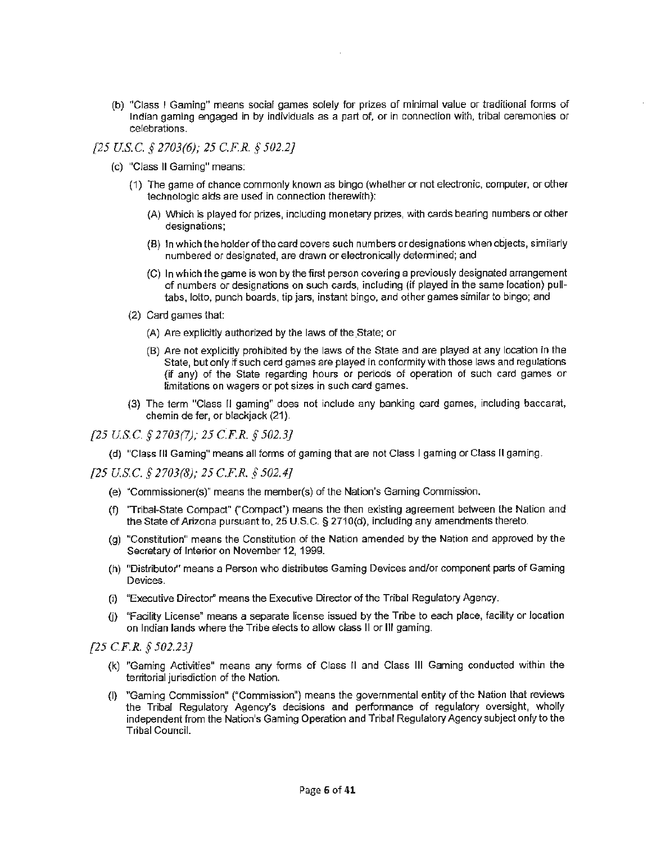(b) "Class I Gaming" means social games solely for prizes of minimal value or traditional forms of Indian gaming engaged in by individuals as a part of, or in connection with, tribal ceremonies or celebrations.

# *[25 US.C.* § *2703(6); 25 C.F.R. § 502.2}*

- (c) "Class II Gaming" means:
	- (1) The game of chance commonly known as bingo (whether or not electronic, computer, or other technologic aids are used in connection therewith):
		- (A) Which is played for prizes, including monetary prizes, with cards bearing numbers or other designations;
		- (8) In which the holder of the card covers such numbers or designations when objects, similarly numbered or designated, are drawn or electronically determined; and
		- (C) In which the game is won by the first person covering a previously designated arrangement of numbers or designations on such cards, including (if played in the same location) pulltabs, lotto, punch boards, tip jars, instant bingo, and other games similar to bingo; and
	- (2) Card games that:
		- (A) Are explicitly authorized by the laws of the State; or
		- (B) Are not explicitly prohibited by the laws of the State and are played at any location in the State, but only if such cerd games are played in conformity with those laws and regulations (if any) of the State regarding hours or periods of operation of such card games or limitations on wagers or pot sizes in such card games.
	- (3) The term "Class I! gaming" does not include any banking card games, including baccarat, chemin de fer, or blackjack (21).

*{25 US.C. § 2703(7); 25 C:F.R. § 502.3)* 

(d) "Class III Gaming" means all forms of gaming that are not Class I gaming or Class II gaming.

*[25 US.C.* § *2703(8); 25 C.F.R. § 502.4)* 

- (e) "Commissioner(s)" means the member(s) of the Nation's Gaming Commission.
- (f) 'Tribal~State Compact" ("Compact") means the then existing agreement between the Nation and the State of Arizona pursuant to, 25 U.S.C. § 2710(d), including any amendments thereto.
- (g) "Constitution" means the Constitution of the Nation amended by the Nation and approved by the Secretary of Interior on November 12, 1999.
- (h) "Distributor' means a Person who distributes Gaming Devices and/or component parts of Gaming Devices.
- (i) "Executive Director" means the Executive Director of the Tribal Regulatory Agency.
- (j) "Facility License" means a separate license issued by the Tribe to each place, facility or location on Indian lands where the Tribe elects to allow class II or 111 gaming.

*[25 C.F.R.* § *502.23]* 

- (k) "Gaming Activities" means any forms of Class II and Class Ill Gaming conducted within the territorial jurisdiction of the Nation.
- (I) "Gaming Commission" ("Commission") means the governmental entity of the Nation that reviews the Tribal Regulatory Agency's decisions and performance of regulatory oversight, wholly independent from the Nation's Gaming Operation and Tribal Regulatory Agency subject only to the Tribal Council.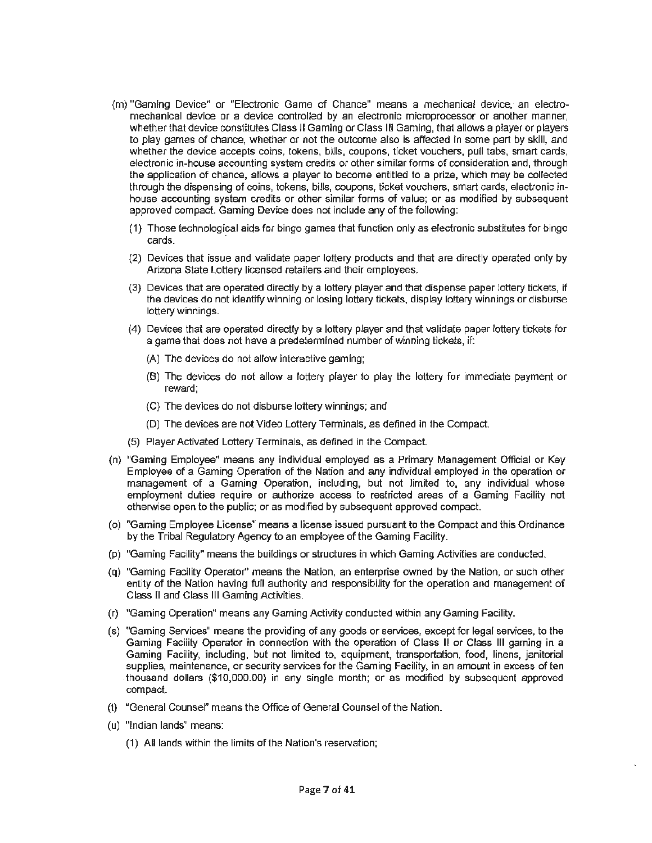- (m) "Gaming Device" or "Electronic Game of Chance" means a mechanical device, an electromechanical device or a device controlled by an electronic microprocessor or another manner, whether that device constitutes Class II Gaming or Class III Gaming, that allows a player or players to play games of chance, whether or not the outcome also is affected in some part by skill, and whether the device accepts coins, tokens, bills, coupons, ticket vouchers, pull tabs, smart cards, electronic in-house accounting system credits or other similar forms of consideration and, through the application of chance, allows a player to become entitled to a prize, which may be collected through the dispensing of coins, tokens, bills, coupons, ticket vouchers, smart cards, electronic inhouse accounting system credits or other similar forms of value; or as modified by subsequent approved compact. Gaming Device does not include any of the following:
	- **(1)** Those technological aids for bingo games that function only as electronic substitutes for bingo cards.
	- (2) Devices that issue and validate paper lottery products and that are directly operated only by Arizona State lottery licensed retailers and their employees.
	- (3) Devices that are operated directly by a lottery player and that dispense paper lottery tickets, if the devices do not identify winning or losing lottery tickets, display lottery winnings or disburse lottery winnings.
	- (4) Devices that are operated directly by a lottery player and that validate paper lottery tickets for a game that does not have a predetermined number of winning tickets, if:
		- (A) The devices do not allow interactive gaming;
		- (B) The devices do not allow a lottery player to play the lottery for immediate payment or reward;
		- (C) The devices do not disburse lottery winnings; and
		- (D) The devices are not Video Lottery Terminals, as defined in the Compact.
	- (5) Player Activated Lottery Terminals, as defined in the Compact.
- (n) "Gaming Employee" means any individual employed as a Primary Management Official or Key Employee of a Gaming Operation of the Nation and any individual employed in the operation or management of a Gaming Operation, including, but not limited to, any individual whose employment duties require or authorize access to restricted areas of a Gaming Facility not otherwise open to the public; or as modified by subsequent approved compact.
- (o) "Gaming Employee License" means a license issued pursuant to the Compact and this Ordinance by the Tribal Regulatory Agency to an employee of the Gaming Facility.
- (p) "Gaming Facility" means the buildings or structures in which Gaming Activities are conducted.
- (q) "Gaming Facility Operator" means the Nation, an enterprise owned by the Nation, or such other entity of the Nation having full authority and responsibility for the operation and management of Class II and Class Ill Gaming Activities.
- (r) "Gaming Operation" means any Gaming Activity conducted within any Gaming Facility.
- (s) "Gaming Services" means the providing of any goods or services, except for legal services, to the Gaming Facility Operator in connection with the operation of Class II or Class Ill gaming in a Gaming Facility, including, but not limited to, equipment, transportation, food, linens, janitorial supplies, maintenance, or security services for the Gaming Facility, in an amount in excess of ten thousand dollars (\$10,000.00) in any single month; or as modified by subsequent approved compact.
- (t) "General Counsel" means the Office of General Counsel of the Nation.
- (u) "Indian lands" means:
	- (1) All lands within the limits of the Nation's reservation;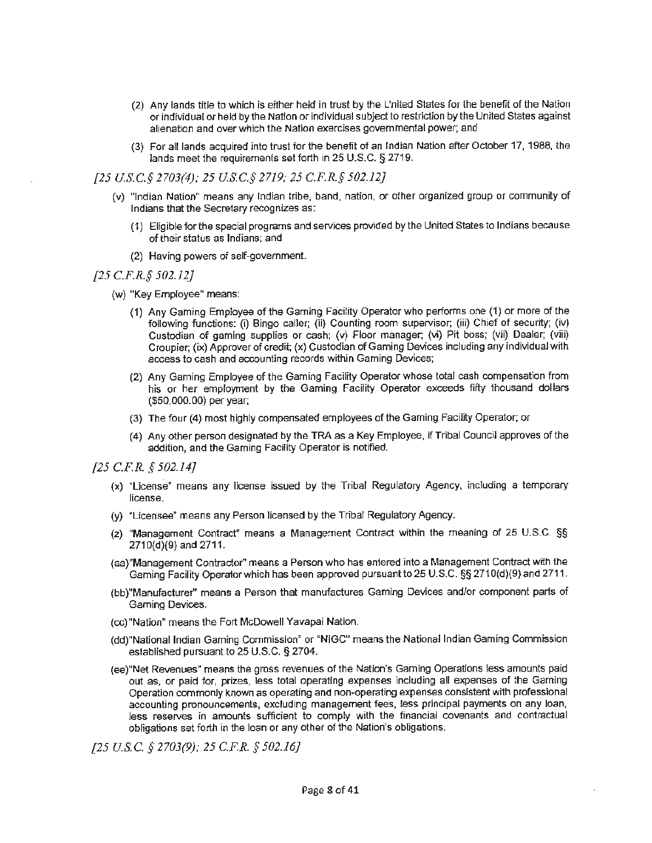- (2) Any lands title to which is either held in trust by the L'nited States for the benefit of the Nation or individual or held by the Nation or individual subject to restriction by the United States against alienation and over which the Nation exercises governmental power; and
- (3) For all lands acquired into trust for the benefit of an Indian Nation after October 17, 1988, the lands meet the requirements set forth in 25 U.S.C. § 2719.

*[25 US.C.§ 2703(4); 25 USC.§ 2719; 25 C.F.R.§ 502.12}* 

- (v) "Indian Nation" means any Indian tribe, band, nation, or other organized group or community of Indians that the Secretary recognizes as:
	- {1) Eligible for the special programs and services provided by the United States *to* Indians because of their status as Indians; and
	- (2) Having powers of self-government.

## *[25 C.F.R.§ 502.12]*

- (w) "Key Employee" means:
	- (1) Any Gaming Employee of the Gaming Facility Operator who performs one (1} or more of the following functions: (i) Bingo caller; (ii) Counting room supervisor; (iii) Chief of security; (iv) Custodian of gaming supplies or cash; (v) Floor manager; (vi) Pit boss; (vii) Dealer; (viii) Croupier; (ix) Approver of credit; (x) Custodian of Gaming Devices including any individual with access to cash and accounting records within Gaming Devices;
	- (2) Any Gaming Employee of the Gaming Facility Operator whose total cash compensation from his or her employment by the Gaming Facility Operator exceeds fifty thousand dollars (\$50,000.00) per year;
	- (3) The four (4) most highly compensated employees of the Gaming Facility Operator; or
	- (4) Any other person designated by the TRA as a Key Employee, if Tribal Council approves of the addition, and the Gaming Facility Operator is notified.
- *[25 C.F.R.* § *502.14}* 
	- (x) "License• means any license issued by the Tribal Regulatory Agency, including a temporary license.
	- (y) "Licensee" means any Person licensed by the Tribal Regulatory Agency.
	- (z) "Management Contract" means a Management Contract within the meaning of 25 U.S.C. §§ 271 0(d)(9) and 2711.
	- (aa)"Management Contractor" means a Person who has entered into a Management Contract with the Gaming Facility Operator which has been approved pursuant to 25 U.S.C. §§ 2710(d)(9) and 2711.
	- (bb)"Manufacturer" means a Person that manufactures Gaming Devices and/or component parts of Gaming Devices.
	- (cc)"Nation" means the Fort McDowell Yavapai Nation.
	- (dd}"National Indian Gaming Commission" or "NIGG" means the National Indian Gaming Commission established pursuant to 25 U.S.C. § 2704.
	- (ee)"Net Revenues" means the gross revenues of the Nation's Gaming Operations less amounts paid out as, or paid for, prizes, less total operating expenses including all expenses of the Gaming Operation commonly known as operating and non-operating expenses consistent with professional accounting pronouncements, excluding management fees, less principal payments on any loan, Jess reserves in amounts sufficient to comply with the financial covenants and contractual obligations set forth in the loan or any other of the Nation's obligations.

*[25 U.S.C. § 2703(9); 25 C.F.R. § 502.16}*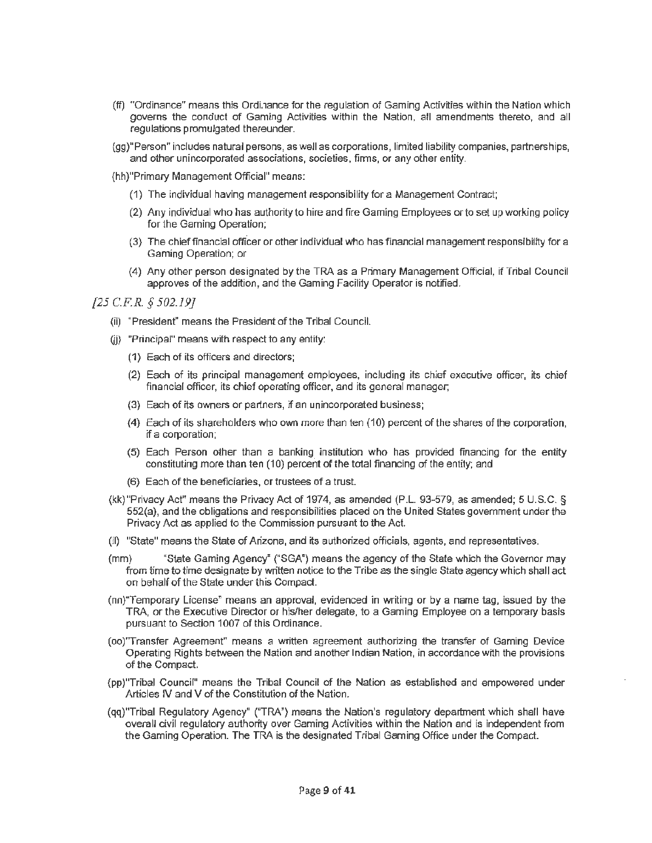- (ff) "Ordinance" means this Ordi.1ance for the regulation of Gaming Activities within the Nation which governs the conduct of Gaming Activities within the Nation, all amendments thereto, and all regulations promulgated thereunder.
- (gg)"Person" includes natural persons, as well as corporations, limited liability companies, partnerships, and other unincorporated associations, societies, firms, or any other entity.
- (hh)"Primary Management Official" means:
	- (1) The individual having management responsibility for a Management Contract;
	- **(2) Any** individual who has authority to hire and fire Gaming Employees or to set up working policy for the Gaming Operation;
	- (3) The chief financial officer or other individual who has financial management responsibility for a Gaming Operation; or
	- (4) Any other person designated by the TRA as a Primary Management Official, if Tribal Council approves of the addition, and the Gaming Facility Operator is notified.

*[25 C.FR. § 502.19]* 

- (ii) "President" means the President of the Tribal Council.
- (ii) "Principal" means with respect to any entity:
	- (1) Each of its officers and directors:
	- (2) Each of its principal management employees, including its chief executive officer, its chief financial officer, its chief operating officer, and its general manager;
	- (3) Each of its owners or partners, if an unincorporated business:
	- **(4)** Each of its shareholders who own more than ten (10) percent of the shares of the corporation, if a corporation;
	- (5) Each Person other than a banking institution who has provided financing for the entity constituting more than ten ( 10) percent of the total financing of the entity; and
	- (6) Each of the beneficiaries, or trustees of a trust.
- (kk)"Privacy Act" means the Privacy Act of 1974, as amended (P.L. 93~579, as amended; 5 U.S.C. § 552(a), and the obligations and responsibilities placed on the United States government under the Privacy Act as applied to the Commission pursuant to the Act.
- (!I) "State" means the State of Arizona, and its authorized officials, agents. and representatives.
- (mm) "State Gaming Agency" ("SGA•) means the agency of the State which the Governor may from time to time designate by written notice to the Tribe as the single State agency which shall act on behalf of the State under this Compact.
- (nn)"Temporary License" means an approval, evidenced in writing or by a name tag, issued by the TRA, or the Executive Director or his/her delegate, to a Gaming Employee on a temporary basis pursuant to Section 1007 of this Ordinance.
- (oo)''Transfer Agreement" means a written agreement authorizing the transfer of Gaming Device Operating Rights between the Nation and another Indian Nation, in accordance with the provisions of the Compact.
- (pp)"Tribal Council'' means the Tribal Council of the Nation as established and empowered under Articles IV and V of the Constitution of the Nation.
- (qq)'Tribal Regulatory Agency" ("TRA") means the Nation's regulatory department which shall have overall civil regulatory authority over Gaming Activities within the Nation and is independent from the Gaming Operation. The TRA is the designated Tribal Gaming Office under the Compact.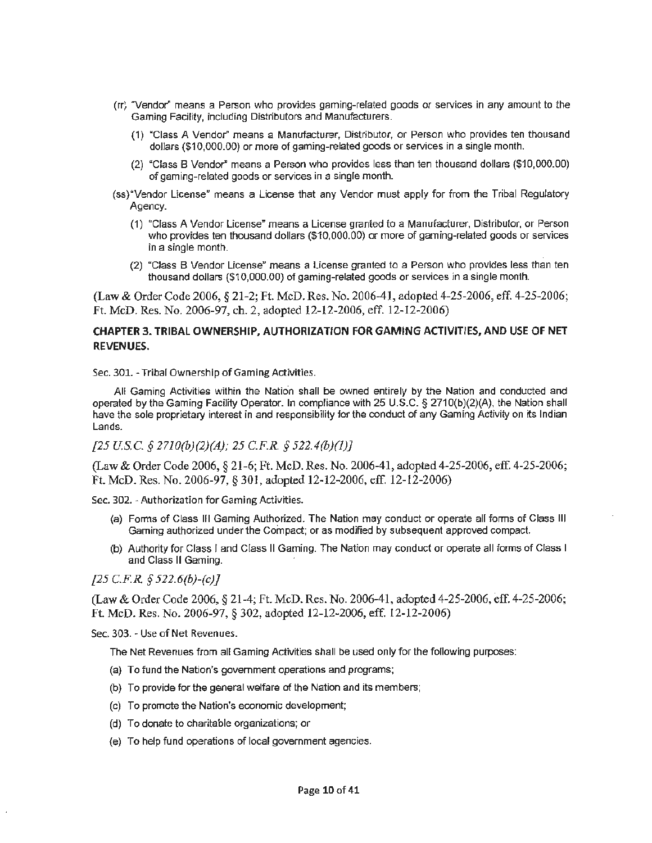- (rrj "Vendor' means a Person who provides gaming-related goods or services in any amount to the Gaming Facility, including Distributors and Manufacturers.
	- (1) "Class A Vendor" means a Manufacturer, Distributor, or Person who provides ten thousand dollars (\$10,000.00) or more of gaming-related goods or services in a single month.
	- (2) "Class B Vendor" means a Person who provides less than ten thousand dollars (\$10,000.00) of gaming-related goods or services in a single month.
- (ss) "Vendor License" means a License that any Vendor must apply for from the Tribal Regulatory Agency.
	- (1) "Class A Vendor License~ means a License granted to a Manufacturer, Distributor, or Person who provides ten thousand dollars (\$10,000.00) or more of gaming-related goods or services in a single month.
	- (2) "Class B Vendor License" means a License granted to a Person who provides less than ten thousand dollars (\$10,000.00) of gaming-related goods or services in a single month.

(Law & Order Code 2006, § 21-2; Ft. McD. Res. No. 2006-41, adopted 4-25-2006, eff. 4-25-2006; Ft. McD. Res. No. 2006-97, ch. 2, adopted 12-12-2006, eff. 12-12-2006)

# **CHAPTER 3. TRIBAL OWNERSHIP, AUTHORIZATION FOR GAMING ACTIVITIES, AND USE OF NET REVENUES.**

Sec. 301. - Tribal Ownership of Gaming Activities.

All Gaming Activities within the Nation shall be owned entirely by the Nation and conducted and operated by the Gaming Facility Operator. In compliance with 25 U.S.C. § 271 0(b)(2)(A), the Nation shall have the sole proprietary interest in and responsibility for the conduct of any Gaming Activity on its Indian Lands.

# *[25 US.C. § 2710(b)(2)(A}; 25 C.F.R. § 522.4(b)(l)]*

(Law & Order Code 2006, § 21-6; Ft. McD. Res. No. 2006-41, adopted4-25-2006, eff. 4-25-2006; Ft. McD. Res. No. 2006-97, § 301, adopted 12-12-2006, eff. 12-12-2006)

Sec. 302. -Authorization for Gaming Activities.

- (a) Forms of Class Ill Gaming Authorized. The Nation may conduct or operate all forms of Class Ill Gaming authorized under the Compact; or as modified by subsequent approved compact.
- (b) Authority for Class I and Class II Gaming. The Nation may conduct or operate all forms of Class I and Class II Gaming.

### *[25 C.F.R. § 522.6(b)-(c)]*

(Law & Order Code 2006, § 21-4; Ft. McD. Res. No. 2006-41, adopted 4-25-2006, eff. 4-25-2006; Ft. McD. Res. No. 2006-97, § 302, adopted 12-12-2006, eff. 12-12-2006)

Sec. 303. - Use of Net Revenues.

The Net Revenues from all Gaming Activities shall be used only for the following purposes:

- (a) To fund the Nation's government operations and programs;
- (b) To provide for the general welfare of the Nation and its members;
- (c) To promote the Nation's economic development;
- (d) To donate to charitable organizations; or
- {e) To help fund operations of local government agencies.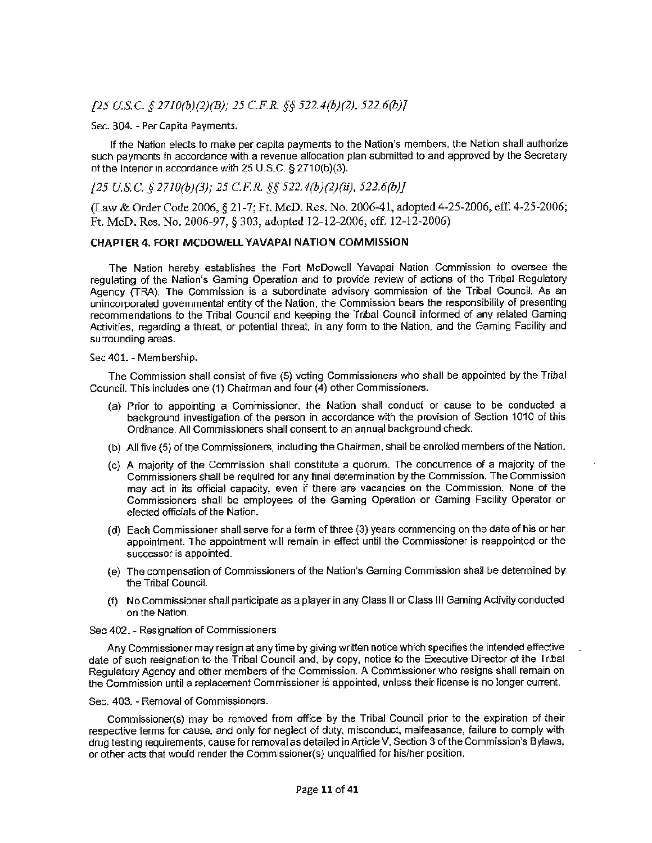# *[25 US.C.* § *2710(b)(2)(B); 25 C.F.R.* §§ *522.4(b)(2), 522.6(b)]*

#### Sec. 304. - Per Capita Payments.

If the Nation elects to make per capita payments to the Nation's members, the Nation shall authorize such payments in accordance with a revenue allocation plan submitted to and approved by the Secretary of the Interior in accordance with 25 U.S.C. § 2710(b)(3).

# *[25 US.C. § 27JO(b)(3); 25 C.F.R. §§ 522.4(b)(2)(ii), 522.6(b)]*

(Law & Order Code 2006, § 21-7; Ft. McD. Res. No. 2006-41, adopted 4-25-2006, eff. 4-25-2006; Ft. McD. Res. No. 2006-97, § 303, adopted 12-12-2006, eff. 12-12-2006)

#### **CHAPTER 4. FORT MCDOWELL YAVAPAI NATION COMMISSION**

The Nation hereby establishes the Fort McDowell Yavapai Nation Commission to oversee the regulating of the Nation's Gaming Operation and to provide review of actions of the Tribal Regulatory Agency (TRA). The Commission is a subordinate advisory commission of the Tribal Council. As an unincorporated governmental entity of the Nation. the Commission bears the responsibility of presenting recommendations to the Tribal Council and keeping the Tribal Council informed of any related Gaming Activities, regarding a threat, or potential threat, in any fonn to the Nation, and the Gaming Facility and surrounding areas.

#### Sec 401. - Membership.

The Commission shall consist of five (5) voting Commissioners who shall be appointed by the Tribal Council. This includes one (1) Chairman and four (4) other Commissioners.

- (a) Prior to appointing a Commissioner, the Nation shall conduct or cause to be conducted a background investigation of the person in accordance with the provision of Section 1010 of this Ordinance. All Commissioners shall consent to an annual background check.
- (b) All five {5} of the Commissioners, including the Chairman, shall be enrolled members of the Nation.
- (c) A majority of the Commission shall constitute a quorum. The concurrence of a majority of the Commissioners shall be required for any final determination by the Commission. The Commission may act in its official capacity, even if there are vacancies on the Commission. None of the Commissioners shall be employees of the Gaming Operation or Gaming Facility Operator or elected officials of the Nation.
- (d) Each Commissioner shall serve for a term of three (3) years commencing on the date of his or her appointment. The appointment will remain in effect until the Commissioner is reappointed or the successor is appointed.
- (e) The compensation of Commissioners of the Nation's Gaming Commission shall be determined by the Tribal Council.
- (f) No Commissioner shall participate as a player in any Class II or Class Ill Gaming Activity conducted on the Nation.

#### Sec 402. - Resignation of Commissioners.

Any Commissioner may resign at any time by giving written notice which specifies the intended effective date of such resignation to the Tribal Council and, by copy, notice to the Executive Director of the Tribal Regulatory Agency and other members of the Commission. **A** Commissioner who resigns shall remain on the Commission until a replacement Commissioner is appointed, unless their license is no longer current.

#### Sec. 403. - Removal of Commissioners.

Commissioner(s) may be removed from office by the Tribal Council prior to the expiration of their respective terms for cause, and only for neglect of duty, misconduct, malfeasance, failure to comply with drug testing requirements, cause for removal as detailed in Article V, Section 3 of the Commission's Bylaws, or other acts that would render the Commissioner(s) unqualified for his/her position.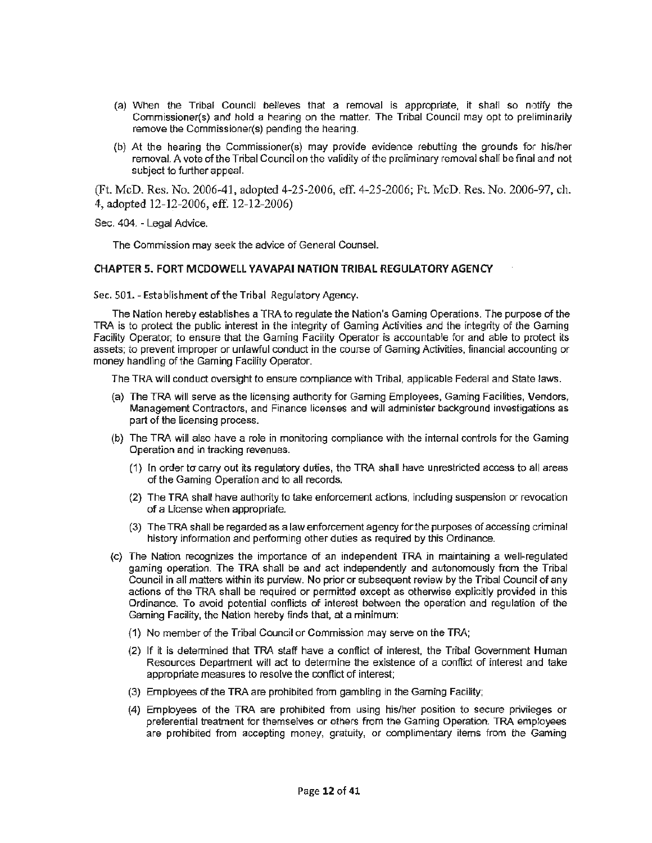- (a) When the Tribal Council believes that a removal is appropriate, it shall so notify the Commissioner(s) and hold a hearing on the matter. The Tribal Council may opt to preliminarily remove the Commissioner(s) pending the hearing.
- (b) At the hearing the Commissioner(s) may provide evidence rebutting the grounds for his/her removal. A vote of the Tribal Council on the validity of the preliminary removal shall be final and not subject to further appeal.

(Ft. McD. Res. No. 2006-41, adopted 4-25-2006, eff. 4-25-2006; Ft. McD. Res. No. 2006-97, ch. 4, adopted 12-12-2006, eff. 12-12-2006)

Sec. 404. - Legal Advice.

The Commission may seek the advice of General Counsel.

#### **CHAPTER 5. FORT MCDOWELL YAVAPAI NATION TRIBAL REGULATORY AGENCY**

Sec. 501. - Establishment of the Tribal Regulatory Agency.

The Nation hereby establishes a TRA to regulate the Nation's Gaming Operations. The purpose of the TRA is to protect the public interest in the integrity of Gaming Activities and the integrity of the Gaming Facility Operator; to ensure that the Gaming Facility Operator is accountable for and able to protect its assets; to prevent improper or unlawful conduct in the course of Gaming Activities, financial accounting or money handling of the Gaming Facility Operator.

The TRA will conduct oversight to ensure compliance with Tribal, applicable Federal and State laws.

- (a) The TRA will serve as the licensing authority for Gaming Employees, Gaming Facilities, Vendors, Management Contractors, and Finance licenses and will administer background investigations as part of the licensing process.
- (b) The TRA will also have a role in monitoring compliance with the internal controls for the Gaming Operation and in tracking revenues.
	- (1) In order to carry out its regulatory duties, the TRA shall have unrestricted access to all areas of the Gaming Operation and to all records.
	- (2) The TRA shall have authority to take enforcement actions, including suspension or revocation of a License when appropriate.
	- (3) The TRA shall be regarded as a law enforcement agency for the purposes of accessing criminal history information and performing other duties as required by this Ordinance.
- (c) The Nation recognizes the importance of an independent TRA in maintaining a well-regulated gaming operation. The TRA shall be and act independently and autonomously from the Tribal Council in all matters within its purview. No prior or subsequent review by the Tribal Council of any actions of the TRA shall be required or permitted except as otherwise explicitly provided in this Ordinance. To avoid potential conflicts of interest between the operation and regulation of the Gaming Facility, the Nation hereby finds that, at a minimum:
	- (1) No member of the Tribal Council or Commission may serve on the TRA;
	- (2) If it is determined that TRA staff have a conflict of interest, the Tribal Government Human Resources Department will act to determine the existence of a conflict of interest and take appropriate measures to resolve the conflict of interest;
	- (3) Employees of the TRA are prohibited from gambling in the Gaming Facility;
	- (4) Employees of the TRA are prohibited from using his/her position to secure privileges or preferential treatment for themselves or others from the Gaming Operation. TRA employees are prohibited from accepting money, gratuity, or complimentary items from the Gaming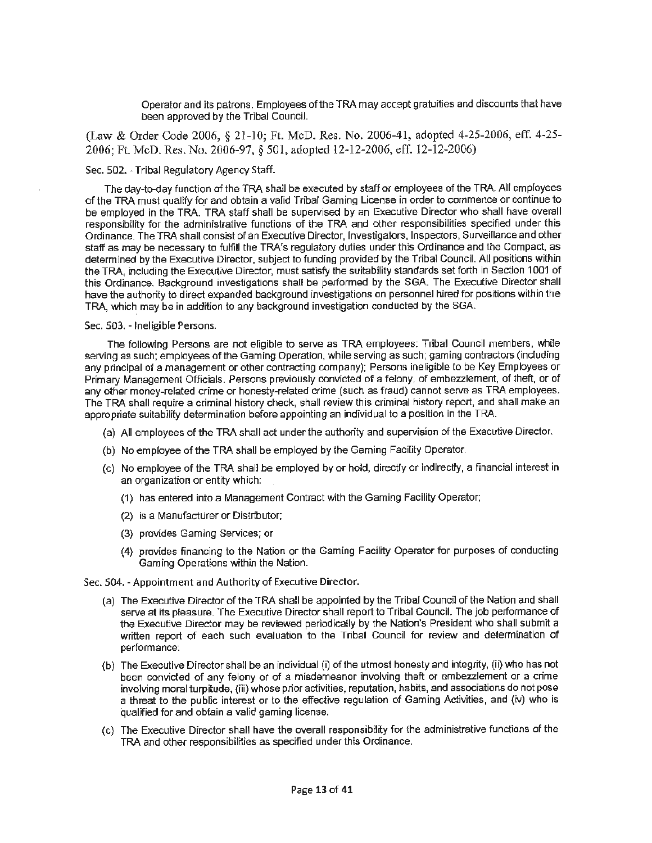Operator and its patrons. Employees of the TRA may acc9pt gratuities and discounts that have been approved by the Tribal Council.

(Law & Order Code 2006, § 21-10; Ft. McD. Res. No. 2006-41, adopted 4-25-2006, eff. 4-25- 2006; Ft. McD. Res. No. 2006-97, § 501, adopted 12-12-2006, eff. 12-12-2006)

#### Sec. 502. - Tribal Regulatory Agency Staff.

The day-to-day function of the TRA shall be executed by staff or employees of the TRA. Alf employees of the TRA must qualify for and obtain a valid Tribal Gaming License in order to commence or continue to be employed in the TRA. TRA staff shall be supervised by an Executive Director who shall have overall responsibility for the administrative functions of the TRA and other responsibilities specified under this Ordinance. The TRA shall consist of an Executive Director, Investigators, Inspectors, Surveillance and other staff as may be necessary to fulfill the TRA's regulatory duties under this Ordinance and the Compact, as determined by the Executive Director, subject to funding provided by the Tribal Council. All positions within the TRA, including the Executive Director, must satisfy the suitability standards set forth in Section 1001 of this Ordinance. Background investigations shall be performed by the SGA. The Executive Director shall have the authority to direct expanded background investigations on personnel hired for positions within the TRA, which may be in addition to any background investigation conducted by the SGA.

#### Sec. 503. - Ineligible Persons.

The following Persons are not eligible to serve as TRA employees: Tribal Council members, while serving as such; employees of the Gaming Operation, while serving as such; gaming contractors (including any principal of a management or other contracting company); Persons ineligible to be Key Employees or Primary Management Officials. Persons previously convicted of a felony, of embezzlement, of theft, or of any other money-related crime or honesty-related crime (such as fraud) cannot serve as TRA employees. The TRA shall require a criminal history check, shall review this criminal history report, and shall make an appropriate suitability determination before appointing an individual to a position in the TRA.

- (a) All employees of the TRA shall act under the authority and supervision of the Executive Director.
- (b) No employee of the TRA shall be employed by the Gaming Facility Operator.
- (c) No employee of the TRA shall be employed by or hold, directly or indirectly, a financial interest in an organization or entity which:
	- ( 1) has entered into a Management Contract with the Gaming Facility Operator;
	- (2) is a Manufacturer or Distributor;
	- (3) provides Gaming Services; or
	- (4) provides financing to the Nation or the Gaming Facility Operator for purposes of conducting Gaming Operations within the Nation.

Sec. 504. - Appointment and Authority of Executive Director.

- (a) The Executive Director of the TRA shall be appointed by the Tribal Council of the Nation and shall serve at its pleasure. The Executive Director shall report to Tribal Council. The job performance of the Executive Director may be reviewed periodically by the Nation's President who shall submit a written report of each such evaluation to the Tribal Council for review and determination of performance:
- (b) The Executive Director shall be an individual (i) of the utmost honesty and integrity, {ii) who has not been convicted of any felony or of a misdemeanor involving theft or embezzlement or a crime involving moral turpitude, {iii) whose prior activities, reputation, habits, and associations do not pose a threat to the public interest or to the effective regulation of Gaming Activities, and (iv) who is qualified for and obtain a valid gaming license.
- (c) The Executive Director shall have the overall responsibility for the administrative functions of the TRA and other responsibilities as specified under this Ordinance.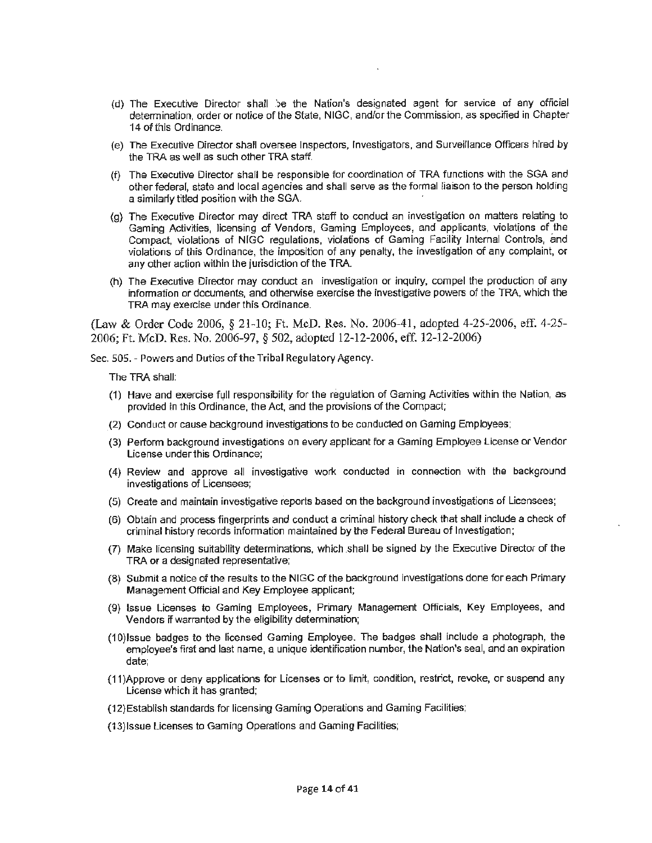- (d) The Executive Director shall ')e the Nation's designated agent for service of any official determination, order or notice of the State, NIGG, and/or the Commission, as specified in Chapter 14 of this Ordinance.
- (e) The Executive Director shall oversee Inspectors, Investigators, and Surveillance Officers hired by the TRA as well as such other TRA staff.
- (f) The Executive Director shall be responsible for coordination of TRA functions with the SGA and other federal, state and local agencies and shall serve as the formal liaison to the person holding a similarly titled position with the SGA.
- (g) The Executive Director may direct TRA staff to conduct an investigation on matters relating to Gaming Activities, licensing of Vendors, Gaming Employees, and applicants, violations of the Compact, violations of NIGG regulations, violations of Gaming Facility Internal Controls, and violations of this Ordinance, the imposition of any penalty, the investigation of any complaint, or any other action within the jurisdiction of the TRA.
- (h) The Executive Director may conduct an investigation or inquiry, compel the production of any information or documents, and otherwise exercise the investigative powers of the TRA, which the TRA may exercise under this Ordinance.

(Law & Order Code 2006, § 21-10; Ft McD. Res. No. 2006-41, adopted 4-25-2006, eff. 4-25- 2006; Ft. McD. Res. No. 2006-97, § 502, adopted 12-12-2006, eff. 12-12-2006)

Sec. 505. - Powers and Duties of the Tribal Regulatory Agency.

The TRA shall:

- (1) Have and exercise full responsibility for the regulation of Gaming Activities within the Nation, as provided in this Ordinance, the Act, and the provisions of the Compact;
- (2) Conduct or cause background investigations to be conducted on Gaming Employees;
- (3) Perform background investigations on every applicant for a Gaming Employee License or Vendor License under this Ordinance;
- (4) Review and approve all investigative work conducted in connection with the background investigations of Licensees;
- (5) Create and maintain investigative reports based on the background investigations of Licensees;
- (6) Obtain and process fingerprints and conduct a criminal history check that shall include a check of criminal history records information maintained by the Federal Bureau of Investigation;
- (7) Make licensing suitabili1y determinations, which shall be signed by the Executive Director of the TRA or a designated representative;
- (8) Submit a notice of the results to the NIGG of the background investigations done for each Primary Management Official and Key Employee applicant;
- (9) Issue Licenses to Gaming Employees, Primary Management Officials, Key Employees, and Vendors if warranted by the eligibility determination;
- (1 0)lssue badges to the licensed Gaming Employee. The badges shall include a photograph, the employee's first and last name, a unique identification number, the Nation's seal, and an expiration date;
- {11)Approve or deny applications for Licenses or 1o limit, condition, restrict, revoke, or suspend any License which it has granted;
- (12) Establish standards for licensing Gaming Operations and Gaming Facilities;
- (13}1ssue Licenses to Gaming Operations and Gaming Facilities;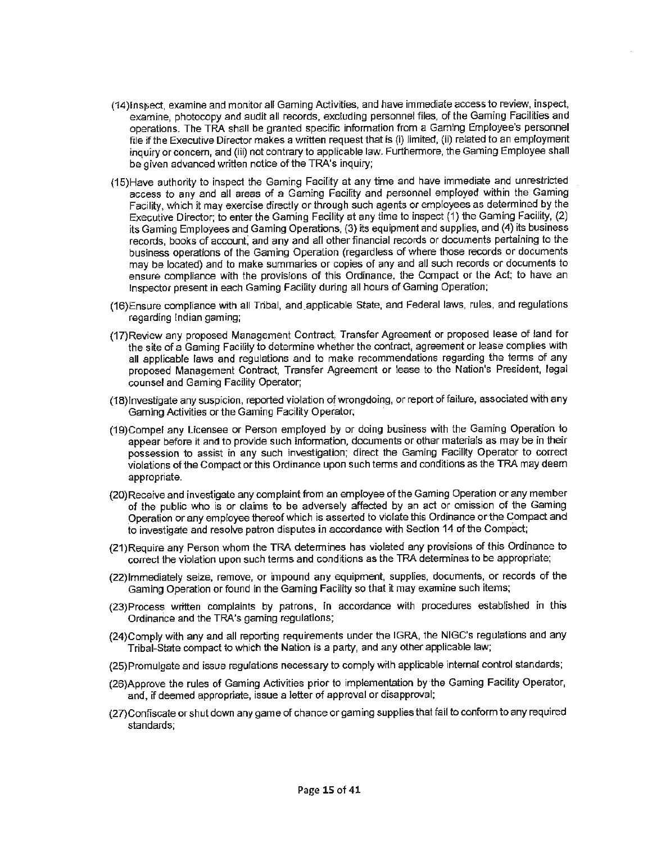- (14) Inspect, examine and monitor all Gaming Activities, and have immediate access to review, inspect, examine, photocopy and audit all records, excluding personnel files, of the Gaming Facilities and operations. The TRA shall be granted specific information from a Gaming Employee's personnel file if the Executive Director makes a written request that is (i) limited, {ii) related to an employment inquiry or concern, and (iii) not contrary to applicable law. Furthermore, the Gaming Employee shall be given advanced written notice of the TRA's inquiry;
- (15)Have authority to inspect the Gaming Facility at any time and have immediate and unrestricted access to any and all areas of a Gaming Facility and personnel employed within the Gaming Facility, which it may exercise directly or through such agents or employees as determined by the Executive Director; to enter the Gaming Facility at any time to inspect (1) the Gaming Facility, (2) its Gaming Employees and Gaming Operations, (3) its equipment and supplies, and (4) its business records, books of account, and any and all other financial records or documents pertaining to the business operations of the Gaming Operation (regardless of where those records or documents may be located) and to make summaries or copies of any and all such records or documents to ensure compliance with the provisions of this Ordinance, the Compact or the Act; to have an Inspector present in each Gaming Facility during all hours of Gaming Operation;
- (16)Ensure compliance with all Tribal, and applicable State, and Federal laws, rules, and regulations regarding Indian gaming;
- (17)Review any proposed Management Contract, Transfer Agreement or proposed lease of !and for the site of a Gaming Facility to determine whether the contract, agreement or lease complies with all applicable laws and regulations and to make recommendations regarding the terms of any proposed Management Contract, Transfer Agreement or lease to the Nation's President, legal counsel and Gaming Facility Operator;
- (18)Investigate any suspicion, reported violation of wrongdoing, or report of failure, associated with any Gaming Activities or the Gaming Facility Operator,
- (19)Compel any Licensee or Person employed by or doing business with the Gaming Operation to appear before it and to provide such infonmation, documents or other materials as may be in their possession to assist in any such investigation; direct the Gaming Facility Operator to correct violations of the Compact or this Ordinance upon such terms and conditions as the TRA may deem appropriate.
- (20)Receive and investigate any complaint from an employee of the Gaming Operation or any member of the public who is or claims to be adversely affected by an act or omission of the Gaming Operation or any employee thereof which is asserted to violate this Ordinance orthe Compact and to investigate and resolve patron disputes in accordance with Section 14 of the Compact;
- (21)Require any Person whom the TRA detennines has violated any provisions of this Ordinance to correct the violation upon such terms and conditions as the TRA determines to be appropriate;
- (22)Immediately seize, remove, or impound any equipment, supplies, documents, or records of the Gaming Operation or found in the Gaming Facility so that it may examine such items;
- (23)Process written complaints by patrons, in accordance with procedures established in this Ordinance and the TRA's gaming regulations;
- (24)Comply with any and all reporting requirements under the IGRA, the NIGC's regulations and any Tribal-State compact to which the Nation is a party, and any other applicable law;
- (25)Promulgate and issue regulations necessary to comply wiih applicable internal control standards;
- (26)Approve the rules of Gaming Activities prior to implementation by the Gaming Facility Operator, and, if deemed appropriate, issue a letter of approval or disapproval:
- {27)Confiscate or shut down any game of chance or gaming supplies that fail to conform to any required standards;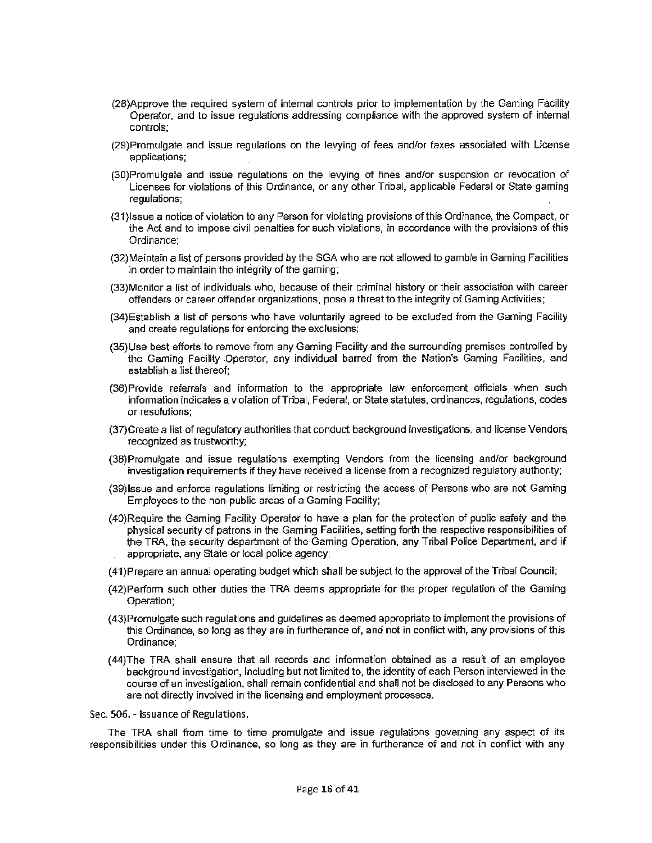- (28)Approve the required system of internal controls prior to implementation by the Gaming Facility Operator, and 10 issue regulations addressing compliance with the approved system of internal controls;
- (29)Promulgate and issue regulations on the levying of fees and/or taxes associated with License applications;
- (30)Promulgate and issue regulations on the levying of fines and/or suspension or revocation of Licenses for violations of this Ordinance, or any other Tribal, applicable Federal or State gaming regulations;
- {31 )Issue a notice of violation to any Person for violating provisions of this Ordinance, the Compact, or the Act and to impose civil penalties for such violations, in accordance with the provisions of this Ordinance;
- (32)Maintain a list of persons provided by the SGA who are not allowed to gamble in Gaming Facilities in order to maintain the integrity of the gaming;
- (33)Monitor a list of individuals who, because of their criminal history or their association with career offenders or career offender organizations, pose a threat to the integrity of Gaming Activities;
- (34)Establish a list of persons who have voluntarily agreed to be excluded from the Gaming Facility and create regulations for enforcing the exclusions;
- (35)Use best efforts to remove from any Gaming Facility and the surrounding premises controlled by the Gaming Facility .Operator, any individual barred from the Nation's Gaming Facilities, and establish a list thereof;
- (36)Provide referrals and information to the appropriate law enforcement officials when such infonnation indicates a violation of Tribal, Federal, or State statutes, ordinances, regulations, codes or resolutions:
- (37)Create a list of regulatory authorities that conduct background investigations, and license Venda~ recognized as trustworthy;
- (38)Promulgate and issue regulations exempting Vendors from the licensing and/or background investigation requirements if they have received a license from a recognized regulatory authority;
- (39)Issue and enforce regulations limiting or restricting the access of Persons who are not Gaming Employees to the non~public areas of a Gaming Facility;
- (40)Require the Gaming Facility Operator to have a plan for the protection of public safety and the physical security of patrons in the Gaming Facilities, setting forth the respective responsibilities of the TRA, the security department of the Gaming Operation, any Tribal Police Department, and if appropriate, any State or local police agency;
- (41}Prepare an annual operating budget which shall be subject to the approval of the Tribal Council;
- (42)Perfonn such other duties the TRA deems appropriate for the proper regulation of the Gaming Operation;
- (43)Promulgate such regulations and guidelines as deemed appropriate to implement the provisions of this Ordinance, so long as they are in furtherance of, and not in conflict with, any provisions of this Ordinance;
- (44)The TRA shall ensure that all records and infonnation obtained as a result of an employee background investigation, including but not limited to, the identity of each Person interviewed in the course of an investigation, shall remain confidential and shall not be disclosed to any Persons who are not directly involved in the licensing and employment processes.

Sec. 506. - Issuance of Regulations.

The TRA shall from time to time promulgate and issue regulations governing any aspect of its responsibilities under this Ordinance, so long as they are in furtherance of and not in conflict with any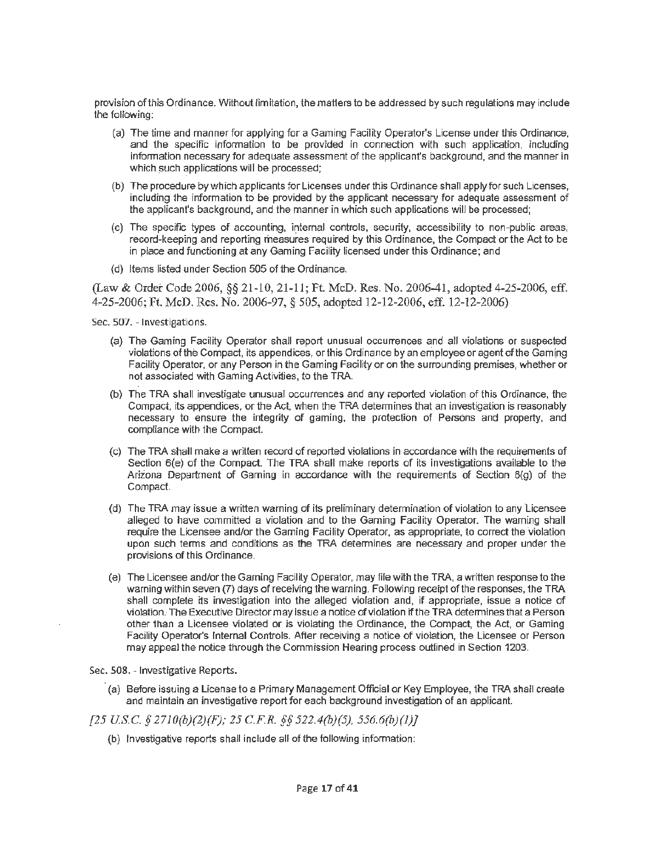provision of this Ordinance. Without limitation, the matters to be addressed by such regulations may include the following:

- (a) The time and manner for applying for a Gaming Facility Operator's License under this Ordinance, and the specific information to be provided in connection with such application, including information necessary for adequate assessment of the applicant's background, and the manner in which such applications will be processed;
- (b) The procedure by which applicants for Licenses under this Ordinance shall apply for such Licenses, including the information to be provided by the applicant necessary for adequate assessment of the applicant's background, and the manner in which such applications will be processed;
- (c) The specific types of accounting, internal controls, security, accessibility to non-public areas, record-keeping and reporting measures required by this Ordinance, the Compact or the Act to be in place and functioning at any Gaming Facility licensed under this Ordinance; and
- (d) Items listed under Section 505 of the Ordinance.

(Law & Order Code 2006, *§§* 21-10, 21-11; Ft. McD. Res. No. 2006-41, adopted 4-25-2006, eff. 4-25-2006; Ft. McD. Res. No. 2006-97, § 505, adopted 12-12-2006, eff. 12-12-2006)

Sec. 507. - Investigations.

- (a) The Gaming Facility Operator shall report unusual occurrences and aH violations or suspected violations of the Compact, its appendices, or this Ordinance by an employee or agent of the Gaming Facility Operator, or any Person in the Gaming Facility or on the surrounding premises, whether or not associated with Gaming Activities, to the TRA.
- (b) The TRA shall investigate unusual occurrences and any reported violation of this Ordinance, the Compact, its appendices, or the Act, when the TRA determines that an investigation is reasonably necessary to ensure the integrity of gaming, the protection of Persons and property, and compliance with the Compact.
- (c) The TRA shall make a written record of reported violations in accordance with the requirements of Section 6(e) of the Compact. The TRA shall make reports of its investigations available to the Arizona Department of Gaming in accordance with the requirements of Section 6(g) of the Compact.
- (d) The TRA may issue a written warning of its preliminary determination of violation to any Licensee alleged to have committed a violation and to the Gaming Facility Operator. The warning shall require the Licensee and/or the Gaming Facility Operator, as appropriate, to correct the violation upon such terms and conditions as the TRA determines are necessary and proper under the provisions of this Ordinance.
- ( e) The Licensee and/or the Gaming Facility Operator, may file with the TRA, a written response to the warning within seven (7) days of receiving the warning. Following receipt of the responses, the TRA shall complete its investigation into the alleged violation and, if appropriate, issue a notice of violation. The Executive Director may issue a notice of violation if the TRA determines that a Person other than a Licensee violated or is violating the Ordinance, the Compact, the Act, or Gaming Facility Operator's Internal Controls. After receiving a notice of violation, the Licensee or Person may appeal the notice through the Commission Hearing process outlined in Section 1203.

Sec. 508. - Investigative Reports.

- (a) Before issuing a License to a Primary Management Official or Key Employee, the TRA shall create and maintain an investigative report for each background investigation of an applicant.
- *[25 U.SC.* § *2710(b)(2)(F); 25 C.F.R.* §§ *522.4(b)(5), 556.6(b)(l)}* 
	- (b) Investigative reports shall include all of the following information: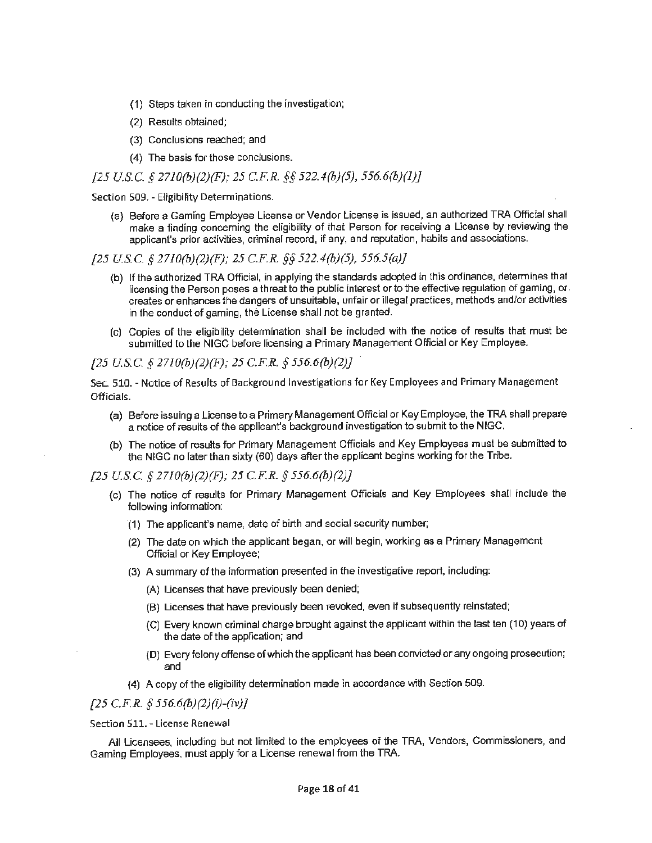- (1) Steps taken in conducting the investigation;
- (2) Results obtained;
- (3) Conclusions reached; and
- (4) The basis for those conclusions.

## *{25 U.S.C. § 2710(b)(2}(F}; 25 C.F.R.* §§ *522.4(b)(5), 556.6(b)(l)]*

Section 509. - Eligibility Determinations.

(a) Before a Gaming Employee License or Vendor License is issued, an authorized TRA Official shall make a finding concerning the eligibility of that Person for receiving a License by reviewing the applicant's prior activities, criminal record, if any, and reputation, habits and associations.

*{25 U.S.C. § 27J0(b)(2)(F); 25 C.FR.* §§ *522.4(b)(5), 556.5(a)}* 

- (b) If the authorized TRA Official, in applying the standards adopted in this orclinailce, determines that licensing the Person poses a threat to the public interest or to the effective regulation of gaming, or creates or enhances the dangers of unsuitable, unfair or illegal practices, methods and/or activities in the conduct of gaming, the License shall not be granted.
- (c) Copies of the eligibility determination shall be included with the notice of results that must be submitted to the NIGG before licensing a Primary Management Official or Key Employee.

*[25 U.S.C. § 2710(b)(2)(F); 25 C.F.R. § 556.6(b}(2)}* 

Sec. 510. - Notice of Results of Background Investigations for Key Employees and Primary Management Officials.

- (a) Before issuing a License to a Primary Management Official or Key Employee, the TRA shall prepare a notice of results of the applicant's background investigation to submit to the NIGC.
- (b) The notice of results for Primary Management Officials and Key Employees must be submitted to the NIGC no later than sixty (60) days after the applicant begins working for the Tribe.

*[25 U.S.C. § 27J0(b)(2)(F); 25 C.F.R. § 556.6(b)(2)]* 

- (c) The notice of results for Primary Management Officials and Key Employees shall include the following information:
	- (1) The applicant's name, date of birth and social security number;
	- (2) The date on which the applicant began, or will begin, working as a Primary Management Official or Key Employee;
	- (3) A summary of the information presented in the investigative report, including:
		- (A) Licenses that have previously been denied;
		- (B) Licenses that have previously been revoked, even if subsequently reinstated;
		- (C) Every known criminal charge brought against the applicant within the last ten (10) years of the date of the application; and
		- {D) Every felony offense of which the applicant has been convicted or any ongoing prosecution; and
	- (4) A copy of the eligibility determination made in accordance with Section 509.

# *[25 C.FR. § 556.6(b)(2)(i)-(iv)J*

Section 511. - License Renewal

All Licensees, including but not limited to the employees of the TRA, Vendors, Commissioners, and Gaming Employees, must apply for a License renewal from the TRA.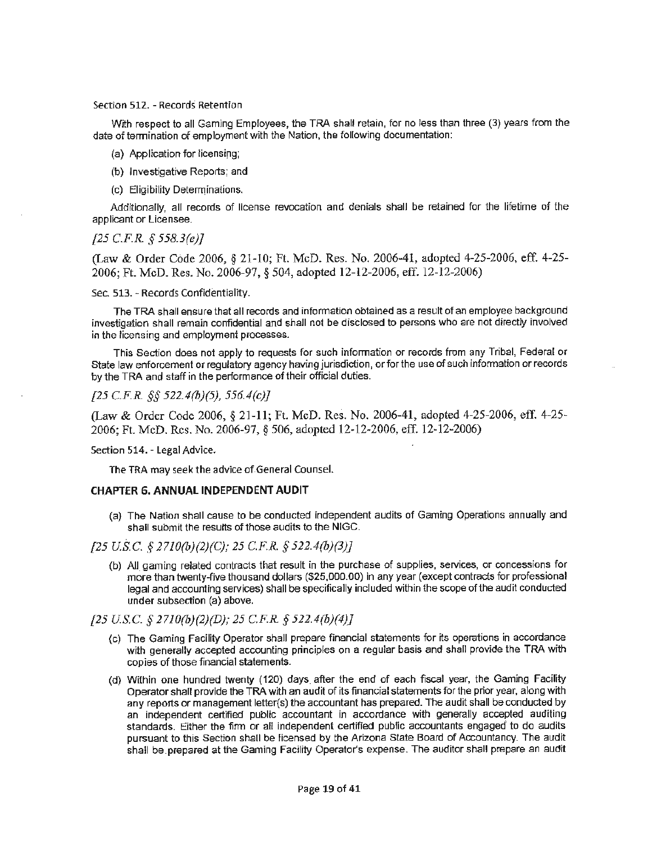#### Section 512. - Records Retention

With respect to all Gaming Employees, the TRA shalt retain, for no less than three (3) years from the date of termination of employment with the Nation, the following documentation:

- (a) Application for licensing;
- (b) Investigative Reports; and
- (c) Eligibility Determinations.

Additionally, all records of license revocation and denials shall be retained for the lifetime of the applicant or Licensee.

#### *{25 C.F.R. § 558.3(e)}*

(Law & Order Code 2006, § 21-10; Ft. McD. Res. No. 2006-41, adopted 4-25-2006, eff. 4-25-2006; Ft. McD. Res. No. 2006-97, § 504, adopted 12-12-2006, eff. 12-12-2006)

Sec. 513. - Records Confidentiality.

The TRA shall ensure that all records and information obtained as a result of an employee background investigation shall remain confidential and shall not be disclosed to persons who are not directly involved in the licensing and employment processes.

This Section does not apply to requests for such information or records from any Tribal, Federal or State law enforcement or regulatory agency having jurisdiction, or for the use of such information or records by the TRA and staff in the performance of their official duties.

# *[25 C.F.R §§ 522.4(b)(5), 556.4(c)]*

(Law & Order Code 2006, § 21-11; Ft. McD. Res. No. 2006-41, adopted 4-25-2006, eff. 4-25- 2006; Ft. McD. Res. No. 2006-97, § 506, adopted 12-12-2006, eff. 12-12-2006)

#### Section 514. - Legal Advice.

The TRA may seek the advice of.General Counsel.

#### **CHAPTER 6. ANNUAL INDEPENDENT AUDIT**

(a) The Nation shall cause to be conducted independent audits of Gaming Operations annually and shall submit the results of those audits to the NIGG.

# *[25 U.S.C. § 2710(b)(2)(C); 25 C.FR. § 522.4(b)(3)]*

(b) AU gaming related contracts that result in the purchase of supplies, services, or concessions for more than twenty-five thousand dollars (\$25,000.00) in any year (except contracts for professional legal and accounting services) shall be specifically included within the scope of the audit conducted under subsection (a) above.

## *[25 U.S.C. § 2710(b)(2)(D); 25 C.FR § 522.4(b)(4)]*

- (c) The Gaming Facility Operator shall prepare financial statements for its operations in accordance with generally accepted accounting principles on a regular basis and shall provide the TRA with copies of those financial statements.
- (d) Within one hundred twenty (120) days after the end of each fiscal year, the Gaming Facility Operator shall provide the TRA with an audit of its financial statements for the prior year, along with any reports or management letter{s) the accountant has prepared. The audit shall be conducted by an independent certified public accountant in accordance with generally accepted auditing standards. Either the finn or all independent certified public accountants engaged to do audits pursuant to this Section shall be licensed by the Arizona State Board of Accountancy. The audit shall be prepared at the Gaming Facility Operator's expense. The auditor shall prepare an audit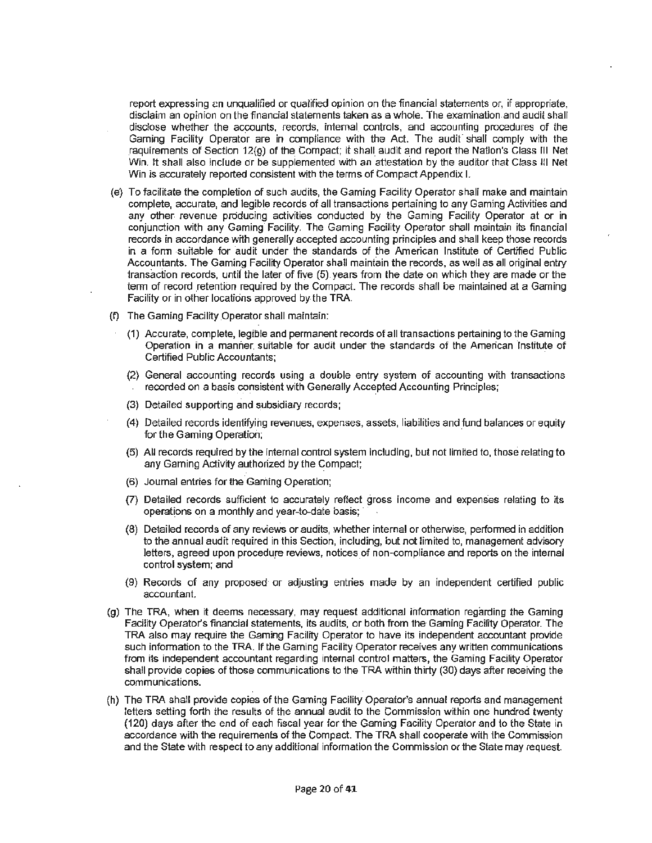report expressing an unqualified or qualified opinion on the financial statements or, if appropriate, disclaim an opinion on the financial statements taken as a whole. The examination and audit shall disclose whether the accounts, records, internal. controls, and accounting procedures of the Gaming Facility Operator are in compliance with the Act. The audit shall comply with the requirements of Section 12(9) of the Compact; it shall audit and report the Nation's Class Ill Net Win. It shall also include or be suppiemented with *an* attestafion by the auditor that Class HI Net Win is accurately reported consistent with the terms of Compact Appendix I.

- (e} To facilitate the completion of such audits, the Gaming Facility Operator shall make and maintain complete, accurate, and legible records of all transactions pertaining to any Gaming Activities and any other revenue producing activities conducted by the Gaming Facility Operator at or in conjunction with any Gaming Facility. The Gaming Facility Operator shall maintain its financial records in accordance with generally accepted accounting principles and shall keep those records in a form sui1able for audit under the standards of the American Institute of Certified Public Accountants. The Gaming Facility Operator shall maintain the records, as well as all original entry transaction records, until the later of five (5) years from the date on which they are made or the term of record retention required by the Compact. The records shall be maintained at a Gaming Facility or in other locations approved by the TRA.
- (f) The Gaming Facility Operator shall maintain:
	- (1) Accurate, complete, legible and permanent records of all transactions pertaining 1o the Gaming Operation in a manner. suitable for audit under the standards of the American Institute of Certified Public Accountants;
	- (2) General accounting records using a double entry system of accounting with 1ransactions recorded on a basis consistent with Generally Accepted Accounting Principles;
	- (3) Detailed supporting and subsidiary records:
	- (4) Detailed records identifying revenues, expenses, assets, liabilities and fund balances or equity for the Gaming Operation;
	- (5) All records required by the internal control system including, but not limited to, those relating to any Gaming Activity authorized by the Compact;
	- (6) Journal entries for the.Gaming Operation;
	- (7) Detailed records sufficient to accurately reflect gross income and expenses relating to its operations on a monthly and year-to-date basis;
	- (8) Detailed records of any reviews or audits, whether internal or otherwise, performed in addition to the annual audit required in this Section, including, but not limited to, management advisory letters, agreed upon procedure reviews, notices of non-compliance and reports on the internal control system; and
	- (9) Records of any proposed or adjusting entries made by an independent certified public accountant.
- {g) The TRA, when it deems necessary, may request additional information regarding the Gaming Facility Operator's financial statements, its audits, or both from the Gaming Facility Operator. The TRA also may require the Gaming Facility Operator to have its independent accountant provide such information to the TRA. If the Gaming Facility Operator receives any written communications from its independent accountant regarding internal control matters, the Gaming Facility Operator shall provide copies of those communications to the TRA within thirty (30) days after receiving the communications.
- (h) The TRA shall provide copies of the Gaming Facility Operator's annual reports and management letters setting forth the results of the annual audit to the Commission within one hundred twenty (120} days after the end of each fiscal year for the Gaming Facility Operator and to the State in accordance with the requirements of the Compact. The TRA shall cooperate with the Commission and the State with respect to any additional information the Commission or the State may request.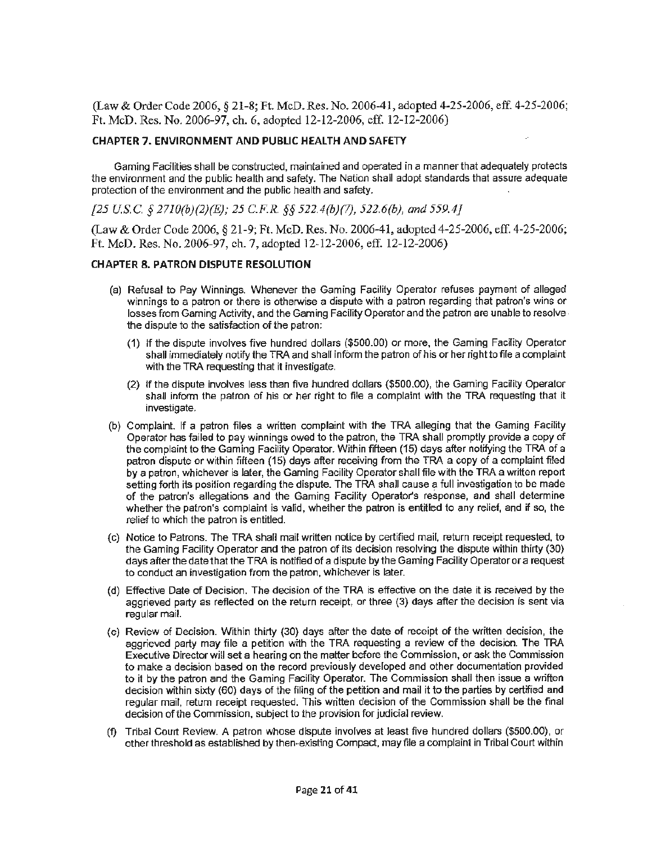(Law & Order Code 2006, § 21-8; Ft. McD. Res. No. 2006-41, adopted4-25-2006, eff. 4-25-2006; Ft. McD. Res. No. 2006-97, ch. 6, adopted 12-12-2006, eff. 12-12-2006)

## **CHAPTER 7. ENVIRONMENT AND PUBLIC HEALTH AND SAFETY**

Gaming Facilities shall be constructed, maintained and operated in a manner that adequately protects the environment and the public health and safety. The Nation shall adopt standards that assure adequate protection of the environment and the public health and safety.

*{25 US.C. § 2710(b)(2)(E); 25 C.FR. §§ 522.4(b)(7), 522.6(b), and 559.4]* 

(Law & Order Code 2006, § 21-9; Ft. McD. Res. No. 2006-41, adopted 4-25-2006, eff. 4-25-2006; Ft. McD. Res. No. 2006-97, ch. 7, adopted 12-12-2006, eff. 12-12-2006)

# **CHAPTER 8. PATRON DISPUTE RESOLUTION**

- (a) Refusal to Pay Winnings. Whenever the Gaming Facility Operator refuses payment of alleged winnings to a patron or there is otherwise a dispute with a patron regarding that patron's wins or losses from Gaming Activity, and the Gaming Facility Operator and the patron are unable to resolve. the dispute to the satisfaction of the patron:
	- (1) If the dispute involves five hundred dollars (\$500.00) or more, the Gaming Facility Operator shall immediately notify the TRA and shall inform the patron of his or her right to file a complaint with the TRA requesting that it investigate.
	- (2) If the dispute involves less than five hundred dollars (\$500.00), the Gaming Facility Operator shall inform the patron of his or her right to file a complaint with the TRA requesting that it investigate.
- (b) Complaint. If a patron files a written complaint with the TRA alleging that the Gaming Facility Operator has failed to pay winnings owed to the patron, the TRA shall promptly provide a copy of the complaint to the Gaming Facility Operator. Within fifteen (15) days after notifying the TRA of a patron dispute or within fifteen (15) days after receiving from the TRA a copy of a complaint filed by a patron, whichever is later, the Gaming Facility Operator shall file with the TRA a written report setting forth its position regarding the dispute. The TRA shall cause a full investigation to be made of the patron's allegations and the Gaming Facility Operator's response, and shall determine whether the patron's complaint is valid, whether the patron is entitled to any relief, and if so, the relief to which the patron is entitled.
- (c) Notice to Patrons. The TRA shall mail written notice by certified mail, return receipt requested, to the Gaming Facility Operator and the patron of its decision resolving the dispute within thirty (30) days after the date that the TRA is notified of a dispute by the Gaming Facility Operator or a request to conduct an investigation from the patron, whichever is later.
- (d) Effective Date of Decision. The decision of the TRA is effective on the date it is received by the aggrieved party as reflected on the return receipt, or three (3) days after the decision is sent via regular mail.
- {e) Review of Decision. Within thirty (30) days after the date of receipt of the written decision, the aggrieved party may file a petition with the TRA requesting a review of the decision. The TRA Executive Director will set a hearing on the matter before the Commission, or ask the Commission to make a decision based on the record previously developed and other documentation provided to it by the patron and the Gaming Facility Operator. The Commission shall then issue a written decision within sixty (60) days of the filing of the petition and mail it to the parties by certified and regular mail, return receipt requested. This written decision of the Commission shall be the final decision of the Commission, subject to the provision for judicial review.
- {f) Tribal Court Review. **A** patron whose dispute involves at least five hundred dollars (\$500.00), or other threshold as established by then-existing Compact, may file a complaint in Tribal Court within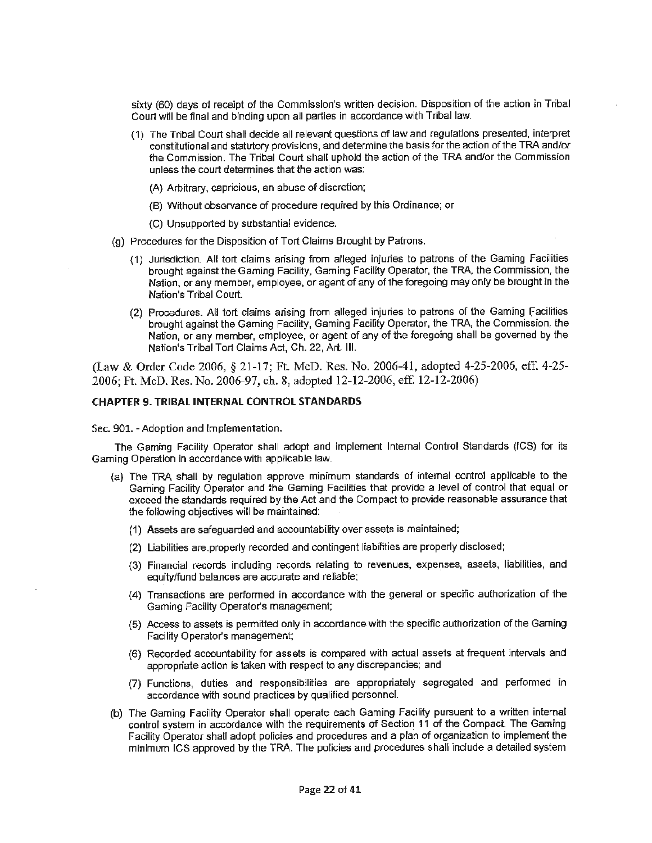sixty (60) days of receipt of the Commission's written decision. Disposition of the action in Tribal Court will be final and binding upon all parties in accordance with Tribal law.

- (1) The Tribal Court shalt decide all relevant questions of law and regulations presented, interpret constitutional and statutory provisions, and determine the basis for the action of the TRA and/or the Commission. The Tribal Court shall uphold the action of the TRA and/or the Commission unless the court determines that the action was:
	- (A) Arbitrary, capricious, an abuse of discretion;
	- (B) Without observance of procedure required by this Ordinance; or
	- {C) Unsupported by substantial evidence.
- (g) Procedures for the Disposition of Tort Claims Brought by Patrons.
	- (1) Jurisdiction. All tort claims arising from alleged injuries to patrons of the Gaming Facilities brought against the Gaming Facility, Gaming Facility Operator, the TRA, the Commission, the Nation, or any member, employee, or agent of any of the foregoing may only be brought in the Nation's Tribal Court.
	- (2) Procedures. All tort claims arising from alleged injuries to patrons of the Gaming facilities brought against the Gaming Facility, Gaming Facility Operator, the TRA, the Commission, the Nation, or any member, employee, or agent of any of the foregoing shall be governed by the Nation's Tribal Tort Claims Act, Ch. 22, Art. Ill.

(Law & Order Code 2006, § 21-17; Ft. McD. Res. No. 2006-41, adopted 4-25-2006, eff. 4-25- 2006; Ft. McD. Res. No. 2006-97, ch. 8, adopted 12-12-2006, eff. 12-12-2006)

#### **CHAPTER 9. TRIBAL INTERNAL CONTROL STANDARDS**

Sec. 901. - Adoption and Implementation.

The Gaming Facility Operator shall adopt and implement Internal Control Standards (ICS) for its Gaming Operation in accordance with applicable law.

- {a) The TRA shall by regulation approve minimum standards of internal control applicable *to* the Gaming Facility Operator and the Gaming Facilities that provide a level of control that equal or exceed the standards required by the Act and the Compact to provide reasonable assurance that the following objectives will be maintained:
	- (1) Assets are safeguarded and accountability over assets is maintained;
	- (2) Liabilities are.properly recorded and contingent liabilities are properly disclosed;
	- (3) Financial records including records relating to revenues, expenses, assets, liabilities, and equity/fund balances are accurate and reliable;
	- (4) Transactions are performed in accordance with the general or specific authorization of the Gaming Facility Operator's management;
	- (5) Access to assets is permitted only in accordance with the specific authorization of the Gaming Facility Operator's management;
	- (6) Recorded accountability for assets is compared with actual assets at frequent intervals and appropriate action is taken with respect to any discrepancies; and
	- (7) Functions, duties and responsibilities are appropriately segregated and performed in accordance with sound practices by qualified personnel.
- (b) The Gaming Facility Operator shall operate each Gaming Facility pursuant to a written internal control system in accordance with the requirements of Section 11 of the Compact. The Gaming Facility Operator shall adopt policies and procedures and a plan of organization to implement the minimum !CS approved by the TRA. The policies and procedures shall include a detailed system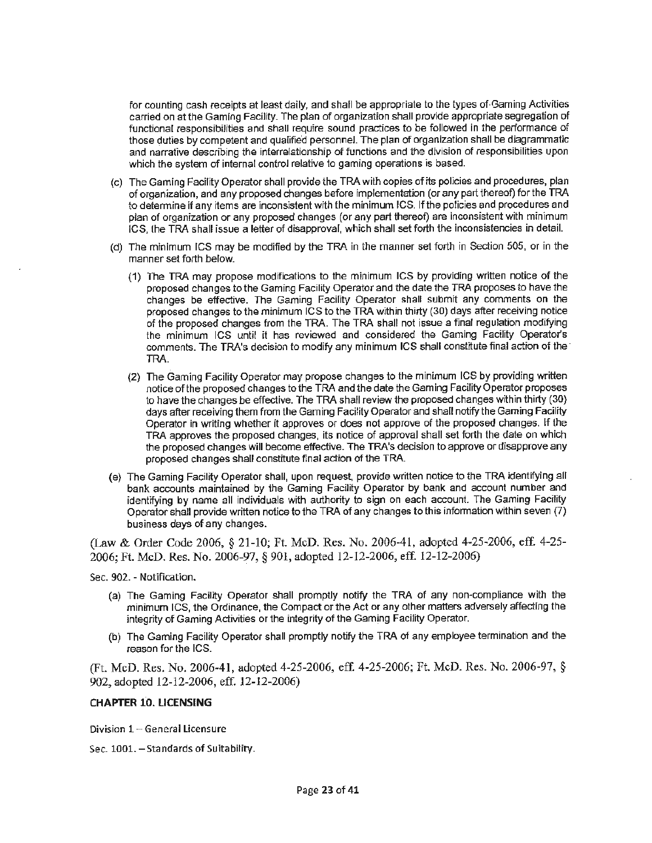for counting cash receipts at least daily, and shall be appropriate to the types of Gaming Activities carried on at the Gaming Facility. The plan of organization shall provide appropriate segregation of functional responsibilities and shall require sound practices to be followed in the performance of those duties by competent and qualified personnel. The plan of organization shall be diagrammatic and narrative describing the interrelationship of functions and the division of responsibilities upon which the system of internal control relative to gaming operations is based.

- (c) The Gaming Facility Operator shall provide the TRA with copies of its policies and procedures, plan of organization, and any proposed changes before implementation ( or any part thereof) for the TRA to determine if any items are inconsistent with the minimum ICS. If the policies and procedures and plan of organization or any proposed changes (or any part thereof) are inconsistent with minimum ICS, the TRA shall issue a letter of disapproval, which shall set forth the inconsistencies in detail.
- (d) The minimum ICS may be modified by the TRA in the manner set forth in Section 505, or in the manner set forth below.
	- (1) The TRA may propose modifications to the minimum ICS by providing written notice of the proposed changes to the Gaming Facility Operator and the date the TRA proposes to have the changes be effective. The Gaming Facility Operator shall submit any comments on the proposed changes to the minimum ICS to the TRA within thirty (30) days after receiving notice of the proposed changes from the TRA. The TRA shall not issue a final regulation modifying the minimum JCS until it has reviewed and considered the Gaming Facility Operator's comments. The TRA's decision to modify any minimum ICS shall constitute final action of the· TRA.
	- (2} The Gaming Facility Operator may propose changes to the minimum ICS by providing written notice of the proposed changes to the TRA and the date the Gaming Facility Operator proposes to have the changes be effective. The TRA shall review the proposed changes within thirty (30) days after receiving them from the Gaming Facility Operator and shall notify the Gaming Facility Operator in writing whether it approves or does not approve of the proposed changes. If the TRA approves the proposed changes, its notice of approval shall set forth the date on which the proposed changes will become effective. The TRA's decision to approve or disapprove any proposed changes shall constitute final action of the TRA.
- (e) The Gaming Facility Operator shall, upon request, provide written notice to the TRA identifying all bank accounts maintained by the Gaming Facility Operator by bank and account number and identlfying by name all individuals with authority to sign on each account. The Gaming Facility Operator shall provide written notice to the TRA of any changes to this information within seven (1) business days of any changes.

(Law & Order Code 2006, § 21-10; Ft. McD. Res. No. 2006-41, adopted 4-25-2006, eff. 4-25- 2006; Ft. McD. Res. No. 2006-97, § 901, adopted 12-12-2006, eff. 12-12-2006)

Sec. 902. - Notification.

- (a) The Gaming Facility Operator shall promptly notify the TRA of any non-compliance with the minimum ICS, the Ordinance, the Compact or the Act or any other matters adversely affecting the integrity of Gaming Activities or the integrity of the Gaming Facility Operator.
- (b) The Gaming Facility Operator shall promptly notify the TRA of any employee termination and the reason for the ICS.

(Ft. McD. Res. No. 2006-41, adopted 4-25-2006, eff. 4-25-2006; Ft. McD. Res. No. 2006-97, § 902, adopted 12-12-2006, eff. 12-12-2006)

#### **CHAPTER 10. LICENSING**

Division  $1 -$  General Licensure

Sec. 1001. - Standards of Suitability.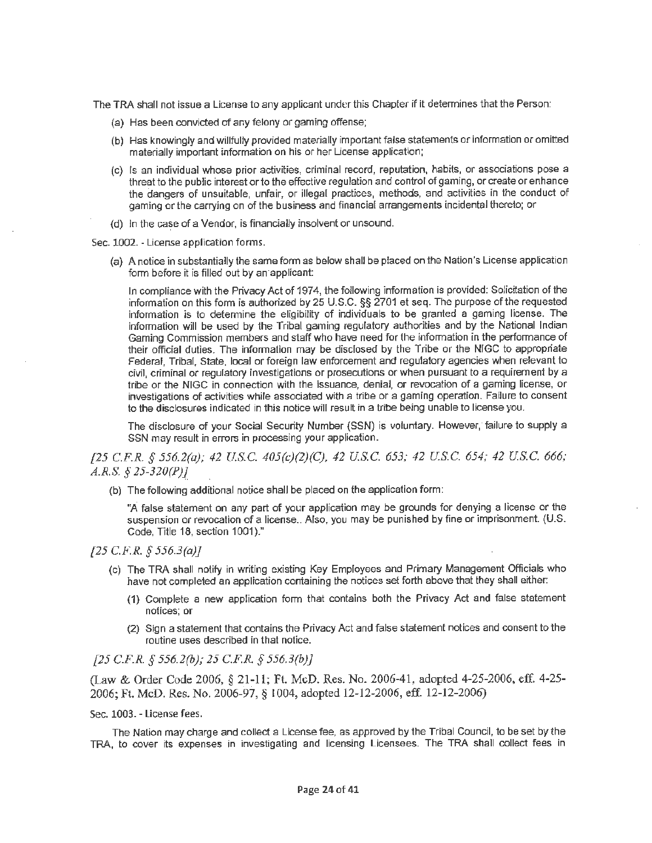The TRA shall not issue a License to any applicant under this Chapter if it detennines that the Person:

- (a) Has been convicted of any felony or gaming offense;
- (b) Has knowingly and willfully provided materially important false statements or information or omitted materially important information on his or her License application;
- (c) Is an individual whose prior activities, criminal record, reputation, habits, or associations pose a threat to the public interest or to the effective regulation and control of gaming, or create or enhance the dangers of unsuitable, unfair, or illegal practices, methods, and activities in the conduct of gaming or the carrying on of the business and financial arrangements incidental thereto; or
- (d) In the case of a Vendor, is financially insolvent or unsound.

Sec. 1002. - License application forms.

(a) A notice in substantially the same form as below shall be placed on the Nation's License application form before it is filled out by an applicant:

In compliance with the Privacy Act of 1974, the following information is provided: Solicitation of the information on this form is authorized by 25 U.S.C. §§ 2701 et seq. The purpose of the requested information is to determine the eligibility of individuals to be granted a gaming license. The information will be used by the Tribal gaming regulatory authorities and by the National Indian Gaming Commission members and staff who have need for the information in the performance of their official duties. The information may be disclosed by the Tribe or the NIGG to appropriate Federal, Tribal, State, local or foreign law enforcement and regulatory agencies when relevant to civil, criminal or regulatory investigations or prosecutions or when pursuant to a requirement by a tribe or the NIGG in connection with the issuance, denial, or revocation of a gaming license, or investigations of activities while associated with a tribe or a gaming operation. Failure to consent to the disclosures indicated in this notice will result in a tribe being unable to license you.

The disclosure of your Social Security Number {SSN) is voluntary. However, failure to supply a SSN may result in errors in processing your application.

*[25 C.F.R. § 556.2(a); 42 U.S.C. 405(c)(2)(C), 42 U.S.C. 653; 42 US.C. 654; 42 U.S.C. 666; A.R.S. § 25-320(P)J* 

(b) The following additional notice shall be placed on the application form:

"A false statement on any part of your application may be grounds for denying a license or the suspension or revocation of a license.. Also, you may be punished by fine or imprisonment. (U.S. Code, Title 18, section 1001)."

*[25 C.FR. § 556.3(a)J* 

- (c) The TRA shall notify in writing existing Key Employees and Primary Management Officials who have not completed an application containing the notices set forth above that they shall either:
	- **(1)** Complete a new application fonn that contains both the Privacy Act and false statement notices; **or**
	- (2) Sign a statement that contains the Privacy Act and false statement notices and consent to the routine uses described in that notice.

*[25 C.F.R. § 556.2(b); 25* C.F.R *§ 556.3(b)}* 

(Law & Order Code 2006, § 21~1 l; Ft. McD. Res. No. 2006-41, adopted 4-25-2006, eff. 4-25- 2006; Ft. McD. Res. No. 2006-97, § 1004, adopted 12-12-2006, eff. 12-12-2006)

Sec. 1003. - License fees.

The Nation may charge and collect a License fee, as approved by the Tribal Council, to be set by the TRA, to cover its expenses in investigating and licensing Licensees. The TRA shall collect fees in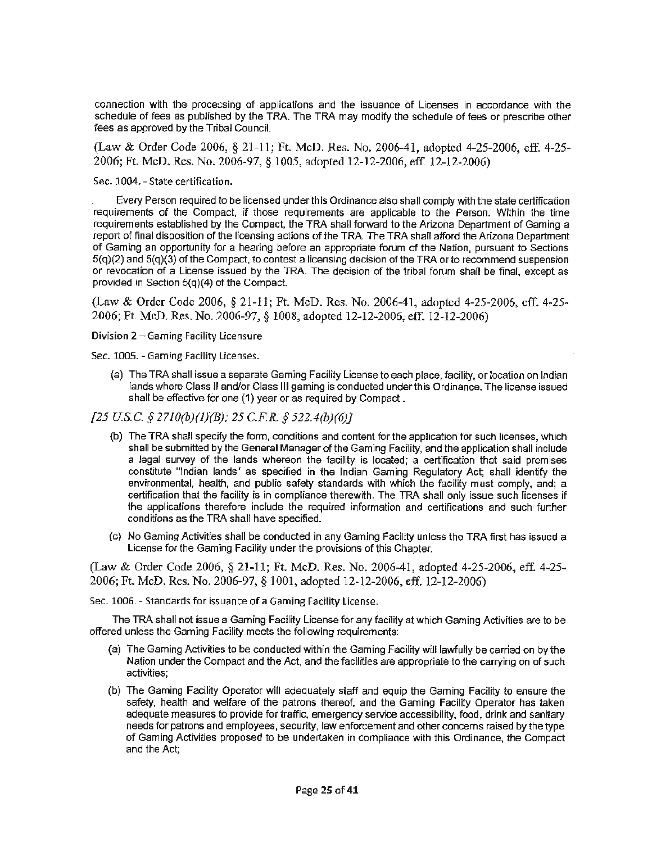connection with the processing of applications and the issuance of Licenses in accordance with the schedule of fees as published by the TRA. The TRA may modify the schedule of fees or prescribe other fees as approved by the Tribal Council.

(Law & Order Code 2006, § 21-11; Ft. McD. Res. No. 2006-41, adopted 4-25-2006, eff. 4-25- 2006; Ft. McD. Res. No. 2006-97, § 1005, adopted 12-12-2006, eff. 12-12-2006)

Sec. 1004. - State certification.

Every Person required to be licensed under this Ordinance also shall comply with the state certification requirements of the Compact, if those requirements are applicable to the Person. Within the time requirements established by the Compact, the TRA shall forward to the Arizona Department of Gaming a report of final disposition of the licensing actions of ihe TRA. The TRA shall afford the Arizona Department of Gaming an opportunity for a hearing before an appropriate forum of the Nation, pursuant to Sections  $5(q)(2)$  and  $5(q)(3)$  of the Compact, to contest a licensing decision of the TRA or to recommend suspension or revocation of a License issued by the TRA. The decision of the tribal forum shall be final, except as provided in Section 5(q)(4) of the Compact.

(Law & Order Code 2006, § 21-11; Ft. McD. Res. No. 2006-41, adopted 4-25-2006, ef£ 4~25- 2006; Ft. McD. Res. No. 2006-97, § 1008, adopted 12-12-2006, eff. 12-12-2006)

Division 2 ~Gaming Facility Licensure

Sec. 1005. - Gaming Facility Licenses.

(a) The TRA shall issue a separate Gaming Facility License to each place, facility, or location on Indian lands where Class JI and/or Class Ill gaming is conducted under this Ordinance. The license issued shall be effective-for one (1) year or as required by Compact.

*[25* use.§ *211o(b)(J)(BJ: 25 C.F.R. § 522.4(b)(6JJ* 

- (b) The TRA shall specify the form, conditions and content for the application for such licenses, which shall be submitted by the General Manager of the Gaming Facility, and the application shall include a legal survey of the lands whereon the facility is located; a certification that said premises constitute "Indian lands" as specified in the Indian Gaming Regulatory Act; shall identify the environmental, health, and public safety standards with which the facility must comply, and; a certification that the facility is in compliance therewith. The TRA shall only issue such licenses if the applications therefore include the required information and certifications and such further conditions as the TRA shall have specified.
- (c) No Gaming Activities shall be conducted in any Gaming Facility unless the TRA first has issued a License for the Gaming Facility under the provisions of this Chapter.

(Law & Order Code 2006, § 21-11; Ft. McD. Res. No. 2006-41, adopted 4-25-2006, eff. 4-25- 2006; Ft. McD. Res. No. 2006-97, § 1001, adopted 12-12-2006, eff. 12-12-2006)

Sec. 1006. - Standards for issuance of a Gaming Facility License.

The TRA shall not issue a Gaming Facility License for any facility at which Gaming Activities are to be offered unless the Gaming Facility meets the following requirements:

- (a) The Gaming Activities to be conducted within the Gaming Facility will lawfully be carried on by the Nation under the Compact and the Act, and the facilities are appropriate to the carrying on of such activities;
- (b) The Gaming Facility Operator will adequately staff and equip the Gaming Facility to ensure the safety, health and welfare of the patrons thereof, and the Gaming Facility Operator has taken adequate measures to provide for traffic, emergency service accessibility, food, drink and sanitary needs for patrons and employees, security, law enforcement and other concerns raised by the type of Gaming Activities proposed to be undertaken in compliance with this Ordinance, the Compact and the Act;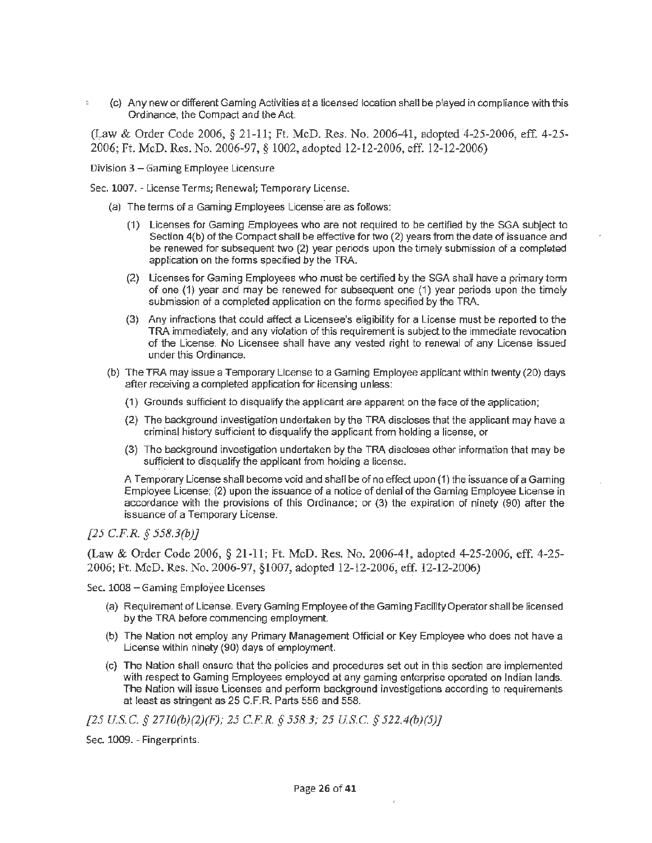(c) Any new or different Gaming Activities at a licensed location shall be played in compliance with this Ordinance, the Compact and the Act.

(Law & Order Code 2006, § 21-11; Ft. McD. Res. No. 2006-41, adopted 4-25-2006, eff. 4-25-2006; Ft. McD. Res. No. 2006-97, § 1002, adopted 12-12-2006, eff. 12-12-2006)

Division 3 - Gaming Employee Licensure

 $\mathbb{S}^1$ 

Sec. 1007. - License Terms; Renewal; Temporary License.

- (a) The terms of a Gaming Employees License are as follows:
	- (1) Licenses for Gaming Employees who are not required to be certified by the SGA subject to Section 4(b) of the Compact shall be effective for two (2) years from the date of issuance and be renewed for subsequent two (2) year periods upon the timely submission of a completed application on the forms specified by the TRA.
	- (2) Licenses for Gaming Employees who must be certified by the SGA shall have a primary term of one (1) year and may be renewed for subsequent one (1) year periods upon the timely submission of a completed application on the forms specified by the TRA.
	- (3) Any infractions that could affect a Licensee's eligibility for a License must be reported to the TRA immediately, and any violation of this requirement is subject to the immediate revocation of the License. No Licensee shall have any vested right to renewal of any License issued under this Ordinance.
- (b) The TRA may issue a Temporary License to a Gaming Employee applicant within twenty (20) days after receiving a completed application for licensing unless:
	- (1) Grounds sufficient to disqualify the applicant are apparent on the face of the application;
	- (2) The background inves1igation undertaken by the TRA discloses that the applicant may have a criminal history sufficient to disqualify the applicant from holding a license, or
	- (3) The background investigation undertaken by the TRA discloses other information that may be sufficient to disqualify the applicant from holding a license.

A Temporary License shall become void and shall beofno effect upon (1) the issuance ofa Gaming Employee License; (2) upon the issuance of a notice of denial of the Gaming Employee License in accordance with the provisions of this Ordinance; or (3) the expiration of ninety (90) after the issuance of a Temporary License.

# *[25 C.F.R. § 558.3(b)]*

(Law & Order Code 2006, § 21~11; Ft. McD. Res. No. 2006-41, adopted 4-25-2006, eff. 4-25- 2006; Ft. McD. Res. No. 2006-97, §1007, adopted 12-12-2006, eff. 12-12-2006)

Sec. 1008 - Gaming Employee Licenses

- (a) Requirement of License. Every Gaming Employee of the Gaming Facility Operator shall be licensed by the TRA before commencing employment.
- (b) The Nation not employ any Primary Management Official or Key Employee who does not have a License within ninety (90) days of employment.
- (c) The Nation shall ensure that the policies and procedures set out in this section are implemented with respect to Gaming Employees employed at any gaming enterprise operated on Indian lands. The Nation will issue Licenses and perform background investigations according to requirements at least as stringent as 25 C.F.R. Parts 556 and 558.

*[25 US.C.* § *2710(b)(2)(F); 25 C.F.R. § 558.3; 25 US.C.* § *522.4(b)(5)]* 

Sec. 1009. - Fingerprints.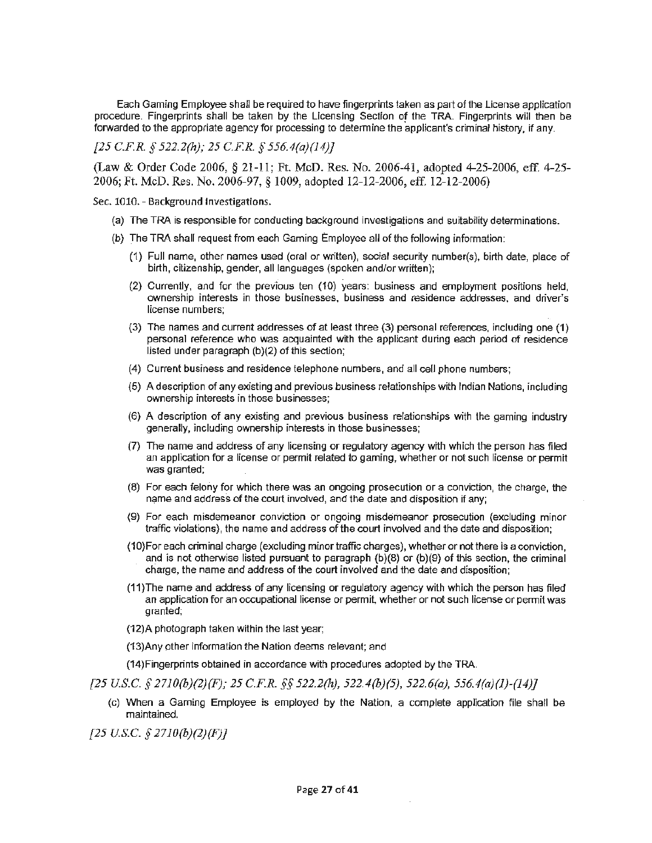Each Gaming Employee shall be required to have fingerprints taken as part of the License application procedure. Fingerprints shall be taken by the Licensing Section of the TRA. Fingerprints will then be forwarded to the appropriate agency for processing to determine the applicant's criminal history, if any.

*[25 C.F.R. § 522.2(h); 25 C.F.R. § 556.4(a}(14)}* 

(Law & Order Code 2006, § 21-11; Ft. McD. Res. No. 2006-41, adopted 4-25-2006, eff. 4-25- 2006; Ft. McD. Res. No. 2006-97, § 1009, adopted 12-12-2006, eff. 12-12-2006)

Sec. 1010. - Background Investigations.

- (a) The TRA is responsible for conducting background investigations and suitability determinations.
- (b) The TRA shall request from each Gaming Employee all of the following information:
	- (1) Full name, other names used (oral or written), social security number(s), birth date, place of birth, citizenship, gender, all languages (spoken and/or written};
	- (2) Currently, and for the previous ten (10) years: business and employment positions held, ownership interests in those businesses, business and residence addresses, and driver's license numbers;
	- (3) The names and current addresses of at least three (3) personal references, including one **(1)**  personal reference who was acquainted with the applicant during each period of residence listed under paragraph (b)(2) of this section;
	- (4) Current business and residence telephone numbers, and all cell phone numbers;
	- (5) A description of any existing and previous business relationships with Indian Nations, including ownership interests in those businesses;
	- (6) **A** description of any existing and previous business relationships with the gaming industry generally, including ownership interests in those businesses;
	- {7) The name and address of any licensing or regulatory agency with which the person has filed an application for a license or permit related to gaming, whether or not such license or permit was granted;
	- (8) For each felony for which there was an ongoing prosecution or a conviction, the charge, the name and address of the court involved, and the date and disposition if any;
	- (9) For each misdemeanor conviction or ongoing misdemeanor prosecution (excluding minor traffic violations), the name and address of the court involved and the date and disposition;
	- (1 O}For each criminal charge (excluding minor traffic charges), whether or not there is a conviction, and is not otherwise listed pursuant to paragraph (b)(8) or (b}(9) of this section, the criminal charge, the name and address of the court involved and the date and disposition;
	- (11 )The name and address of any licensing or regulatory agency with which the person has filed an application for an occupational license or permit, whether or not such license or permit was granted;
	- (12)A photograph taken within the last year;
	- (13)Any other information the Nation deems relevant; and
	- (14)Fingerprints obtained in accordance with procedures adopted by the TRA.
- *[25 US.C. § 27J0(b)(2)(F); 25 C.F.R.* §§ *522.2(h), 522.4(b)(5), 522.6(a), 556.4(a)(J)-(14)]* 
	- (c) When a Gaming Employee is employed by the Nation, a complete application file shall be maintained.

*[25 US.C. § 27J0(b)(2)(F)]*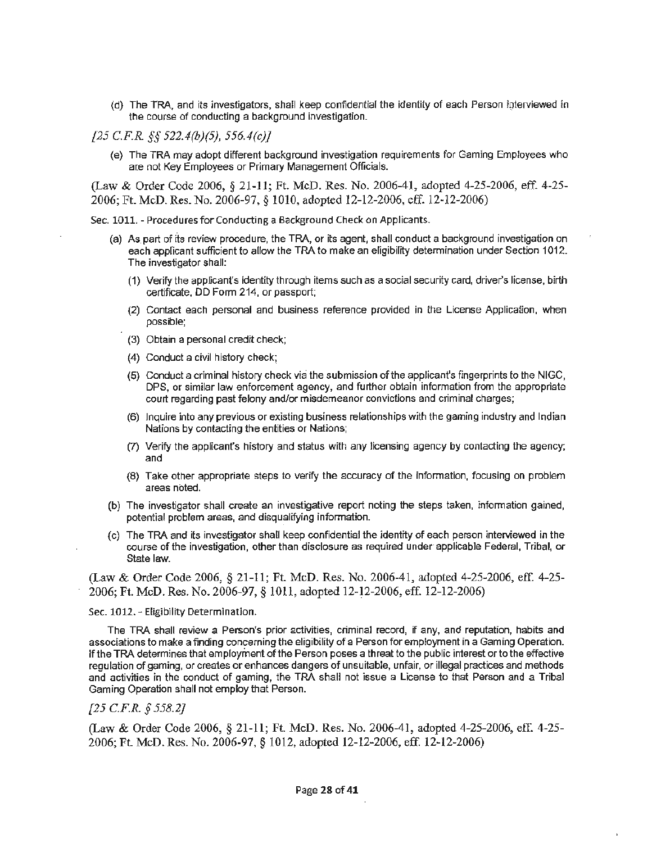- (d) The TRA, and its investigators, shall keep confidential the identity of each Person igterviewed in the course of conducting a background investigation.
- *[25 C.F.R.* §§ *522.4(b)(5), 556.4(c)J* 
	- (e) The TRA may adopt different background investigation requirements for Gaming Employees who are not Key Employees or Primary Management Officials.

(Law & Order Code 2006, § 21-11; Ft. McD. Res. No. 2006-41, adopted 4-25-2006, eff 4-25- 2006; Ft. McD. Res. No. 2006-97, § 1010, adopted 12-12-2006, cff. 12-12-2006)

Sec. 1011. - Procedures for Conducting a Background Check on Applicants.

- (a) As part of its review procedure, the TRA, or its agent, shall conduct a background investigation on each appficant sufficient to allow the TRA to make an eligibility determination under Section 1012. The investigator shall:
	- (1) Verify the applicant's identity through items such as a social security card, driver's license, birth certificate, DD Form 214, or passport;
	- (2) Contact each personal and business reference provided in the License Application, when possible;
	- (3) Obtain a personal credit check;
	- (4) Conduct a civil history check;
	- (5) Conduct a criminal history check via the submission of the applicant's fingerprints to the NIGC, DPS, or similar law enforcement agency, and further obtain information from the appropriate court regarding past felony and/or misdemeanor convictions and criminal charges;
	- (6) Inquire into any previous or existing business relationships with the gaming industry and Indian Nations by contacting the entities or Nations:
	- (7) Verify the applicant's history and status with any licensing agency by contacting the agency; and
	- (8) Take other appropriate steps to verify the accuracy of the information, focusing on problem areas noted.
- (b) The investigator shall create an investigative report noting the steps taken, information gained, potential problem areas, and disqualifying information.
- (c) The TRA and its investigator shall keep confidential the identity of each person interviewed in the course of the investigation, other than disclosure as required under applicable Federal, Tribal, or State law.

(Law & Order Code 2006, § 21-11; Ft. McD. Res. No. 2006-41, adopted 4-25-2006, eff. 4-25- 2006; Ft. McD. Res. No. 2006-97, § 1011, adopted 12-12-2006, eff. 12-12-2006)

#### Sec. 1012. - Eligibility Determination.

The TRA shall review a Person's prior activities, criminal record, if any, and reputation, habits and associations to make a finding concerning the eligibility of a Person for employment in a Gaming Operation. If the TRA determines that employment of the Person poses a threat to the public interest or to the effective regulation of gaming, or creates or enhances dangers of unsuitable, unfair, or illegal practices and methods and activities in the conduct of gaming, the TRA shall not issue a License to that Person and a Tribal Gaming Operation shall not employ that Person.

# *[25 C.F.R. § 558.2]*

(Law & Order Code 2006, § 21-11; Ft. McD. Res. No. 2006-41, adopted 4-25-2006, eff. 4-25- 2006; Ft. McD. Res. No. 2006-97, § 1012, adopted 12-12-2006, eff. 12-12-2006)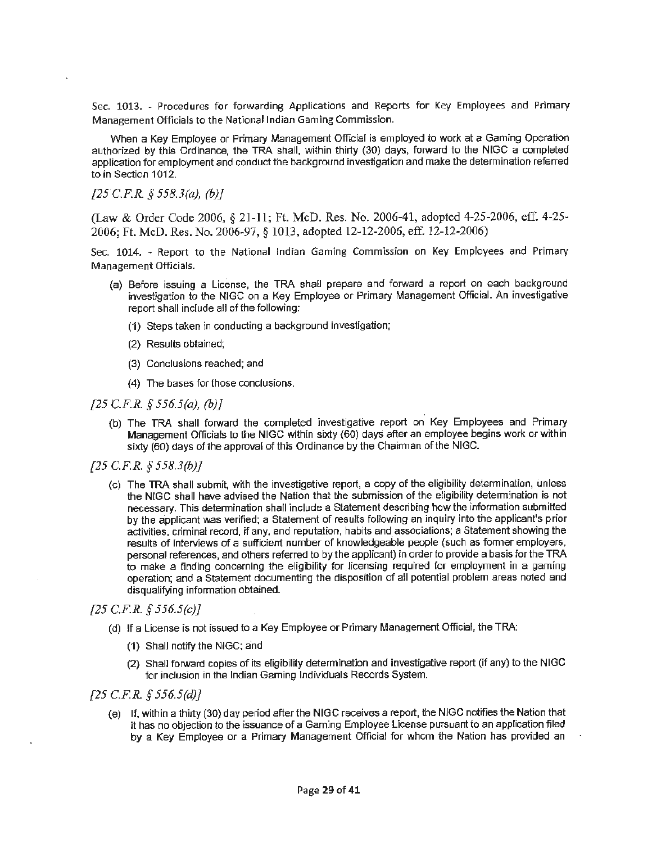Sec. 1013. - Procedures for forwarding Applications and Reports for Key Employees and Primary Management Officia Is to the National Indian Gaming Commission.

When a Key Employee or Primary Management Official is employed to work at a Gaming Operation authorized by this Ordinance, the TRA shall, within thirty (30) days, forward to the NIGC a completed application for employment and conduct the background investigation and make the determination referred to in Section 1012.

*[25C.F.R. § 558.3(a), (b)J* 

(Law & Order Code 2006, § 21-11; Ft. McD. Res. No. 2006-41, adopted 4-25-2006, ell: 4-25- 2006; Ft. McD. Res. No. 2006-97, § 101\_3, adopted 12-12-2006, eff. 12-12-2006)

Sec. 1014. - Report to the National Indian Gaming Commission on Key Employees and Primary Management Officials.

- (a) Before issuing a License, the TRA shall prepare and forward a report on each background investigation to the NIGC on a Key Employee or Primary Management Official. An investigative report shall include all of the following:
	- (1) Steps taken in conducting a background investigation;
	- (2} Results obtained;
	- (3) Conclusions reached; and
	- (4) The bases for those conclusions.

*[25 C.F.R. § 556.S(a), (b)]* 

- {b) The TRA shall forward the completed investigative report on Key Employees and Primary Management Officials to the NIGG within sixty (60) days after an employee begins work or within sixty (60) days of the approval of this Ordinance by the Chairman of the NIGC.
- *[25 C.F.R.* § *558.3(b)]* 
	- (c) The TRA shall submit, with the investigative report, a copy of the eligibility determination, unless the NIGC shall have advised the Nation that the submission of the eligibility determination is not necessary. This determination shall include a Statement describing how the information submitted by the applicant was verified; a Statement of results following an inquiry into the applicant's prior activities, criminal record, if any, and reputation, habits and associations; a Statement showing the results of interviews of a sufficient number of knowledgeable people (such as former employers, personal references, and others referred to by the applicant) in order to provide a basis for the TRA to make a finding concerning the eligibility for licensing required for employment in a gaming operation; and a Statement documenting the disposition of all potential problem areas noted and disqualifying information obtained.

# *[25 C.F.R. § 556.5(c)]*

- (d) If a License is not issued to a Key Employee or Primary Management Official, the TRA:
	- (1) Shall notify the NIGC; and
	- (2) Shall forward copies of its eligibility determination and investigative report (if any) to the NIGG for inclusion in the Indian Gaming Individuals Records System.

#### *[25 C.F.R § 556.5(d)]*

(e) If, within a thirty (30) day period after the NIGC receives a report, the NJGC notifies the Nation that it has no objection to the issuance of a Gaming Employee License pursuant to an application filed by a Key Employee or a Primary Management Official for whom the Nation has provided an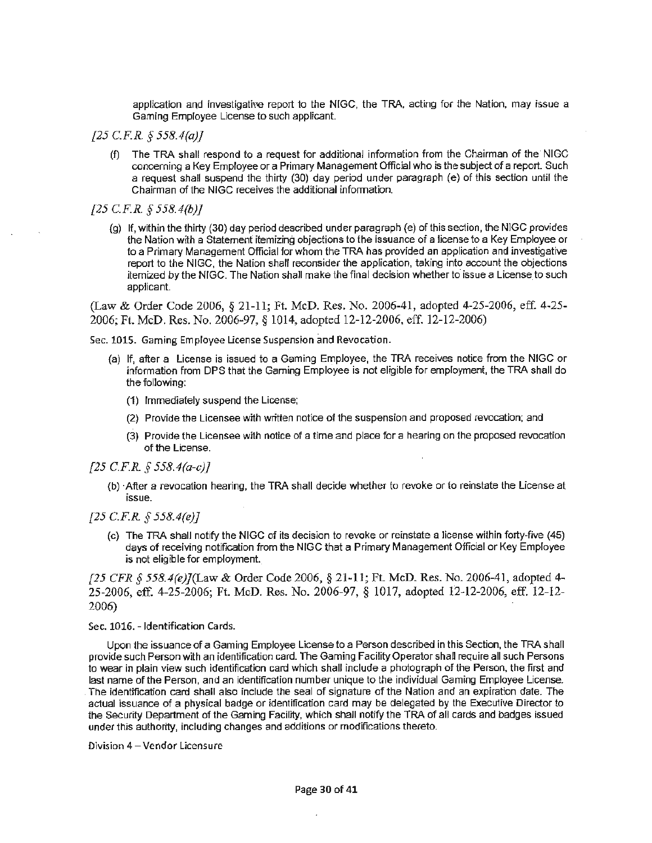application and investigative report to the NIGC, the TRA, acting for the Nation, may issue a Gaming Employee License to such applicant.

- *[25 C.FR. § 558.4(a)}* 
	- (f) The TRA shall respond to a request for additional information from the Chairman of the NIGC concerning a Key Employee or a Primary Management Official who is the subject of a report. Such a request shall suspend the thirty (30) day period under paragraph (e) of this section until the Chairman of the NIGG receives the additional information.
- *[25 C.F.R. § 558.4(b)l* 
	- (g) If, within the thirty (30) day period described under paragraph (e) of this section, the NIGG provides the Nation with a Statement itemizing objections to the issuance of a license to a Key Employee or to a Primary Management Official for whom the TRA has provided an application and investigative report to the NIGG, the Nation shall reconsider the application, taking into account the objections itemized by the NIGG. The Nation shall make the final decision whether to issue a License to such applicant.

(Law & Order Code 2006, § 21-11; Ft. McD. Res. No. 2006-41, adopted 4-25-2006, eff. 4-25- 2006; Ft. McD. Res. No. 2006-97, § 1014, adopted 12-12-2006, eff. 12-12-2006)

Sec. 1015. Gaming Employee License Suspension and Revocation.

- (a) If, after a License is issued to a Gaming Employee, the TRA receives notice from the NIGC or information from DPS that the Gaming Employee is not eligible for employment, the TRA shall do the following:
	- (1) Immediately suspend the License;
	- (2) Provide the Licensee with written notice of the suspension and proposed revocation; and
	- (3) Provide the Licensee with notice of a time and place for a hearing on the proposed revocation of the License.
- *[25 C.F.R § 558.4(a-c)]* 
	- {b) ·After a revocation hearing, the TRA shall decide whether to revoke or to reinstate the License at issue.
- *[25 C.FR § 558.4(e)]* 
	- (c) The TRA shall notify the NIGG of its decision to revoke or reinstate a license within forty-five (45) days **of** receiving notification from the NIGG that a Primary Management Official or Key Employee is not eligible for employment

*[25 CFR* § *558.4(e)](J..,aw* & Order Code 2006, § 21-11; Ft. McD. Res. No. 2006-41, adopted 4- 25-2006, eff. 4-25-2006; Ft. McD. Res. No. 2006-97, § 1017, adopted 12-12-2006, eff. 12-12- 2006)

#### Sec. 1016. - Identification Cards.

Upon the issuance of a Gaming Employee License to a Person described in this Section, the TRA shall provide such Person with an identification card. The Gaming Facility Operator shall require all such Persons to wear in plain **view** such identification card which shall include a photograph of the Person, the first and last name of the Person, and an identification number unique to the individual Gaming Employee License. . The identification card shall also include the seal of signature of the Nation and an expiration date. The actual issuance of a physical badge or identification card may be delegated by the Executive Director to the Security Department of the Gaming Facility, which shall notify the TRA of all cards and badges issued under this authority, including changes and additions or modifications thereto.

Division 4 - Vendor Licensure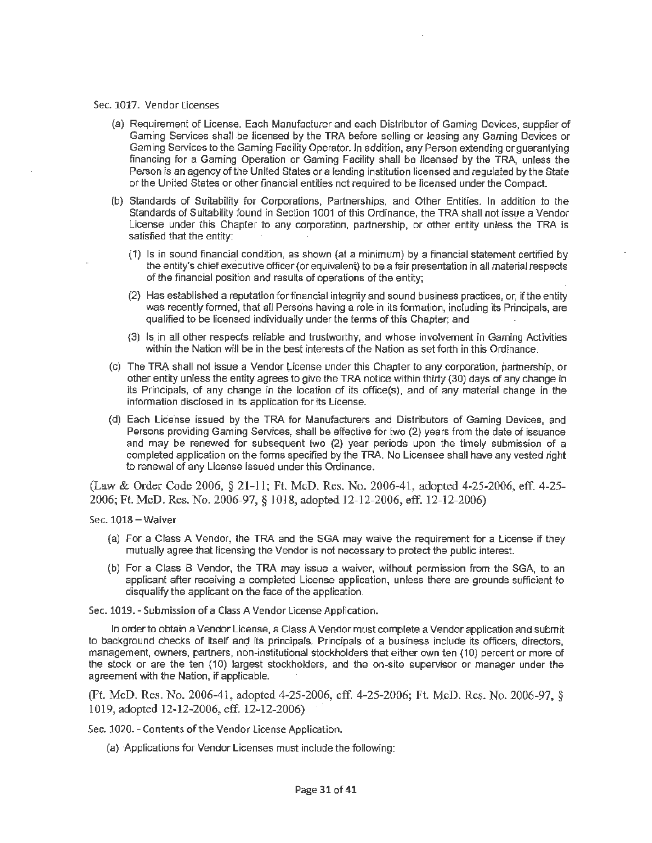#### Sec. 1017. Vendor Licenses

- (a) Requirement of License. Each Manufacturer and each Distributor of Gaming Devices, supplier of Gaming Services shall be licensed by the TRA before selling or leasing any Gaming Devices or Gaming SeNices to the Gaming Facility Operator. Jn addition, any Person extending or guarantying financing for a Gaming Operation or Gaming Facility shall be licensed by the TRA, unless the Person is an agency of the United States or a lending institution licensed and regulated by the State or the United States or other financial entities not required to be licensed under the Compact.
- (b) Standards of Suitability for Corporations, Partnerships, and other Entities. In addition to the Standards of Suitability found in Section 1001 of this Ordinance, the TRA shall not issue a Vendor License under this Chapter to any corporation, partnership, or other entity unless the TRA is satisfied that the entity:
	- (1) Is in sound financial condition, as shown {at a minimum) by a financial statement certified by the entity's chief executive officer (or equivalent) to be a fair presentation in all material respects of the financial position and results of operations of the entity;
	- (2) Has established a reputation for financial integrity and sound business practices, or, if the entity was recently formed, that all Persons having a role in its formation, including its Principals, are qualified to be licensed individually under the terms of this Chapter; and
	- (3) Is in all other respects reliable and trustworthy, and whose involvement in Gaming Activities within the Nation will be in the best interests of the Nation as set forth in this Ordinance.
- (c) The TRA shall not issue a Vendor License under this Chapter to any corporation, partnership, or other entity unless the entity agrees to give the TRA notice within thirty {30) days of any change in its Principals, of any change in the location of its office(s), and of any material change in the information disclosed in its application for its License.
- (d) Each License issued by the TRA for Manufacturers and Distributors of Gaming Devices, and Persons providing Gaming Services, shall be effective for two (2) years from the date of issuance and may be renewed for subsequent two (2) year periods upon the timely submission of a completed application on the forms specified by the TRA. No Licensee shall have any vested right to renewal of any License issued under this Ordinance.

(Law & Order Code 2006, § 21-11; Ft. McD. Res. No. 2006-41, adopted 4-25-2006, eff. 4-25- 2006; Ft. McD. Res. No. 2006-97, § 1 O] 8, adopted 12-12-2006, eff. 12-12-2006)

Sec. **1018** - **Waiver** 

- (a) For a Class A Vendor, the TRA and the SGA may waive the requirement for a License if they mutually agree that licensing the Vendor is not necessary to protect the public interest.
- (b) For a Class B Vendor, the **TRA** may issue a waiver, without permission from the SGA, to an applicant after receiving a completed License application, unless there are grounds sufficient to disqualify the applicant on the face of the application.

Sec. 1019. - Submission of a Class A Vendor license Application.

In order to obtain a Vendor License, a Class A Vendor must complete a Vendor application and submit to background checks of itself and its principals. Principals of a business include its officers, directors, management, owners, partners, non-institutional stockholders that either own ten (10} percent or more of the stock or are the ten (10) largest stockholders, and the on-site supervisor or manager under the agreement with the Nation, if applicable.

(Ft. McD. Res. No. 2006-41, adopted 4-25-2006, eff. 4-25-2006; Ft. McD. Res. No. 2006-97, § 1019, adopted 12-12-2006, eff. 12-12-2006)

Sec. 1020. - Contents of the Vendor License Application.

(a) -Applications for Vendor Licenses must include the following: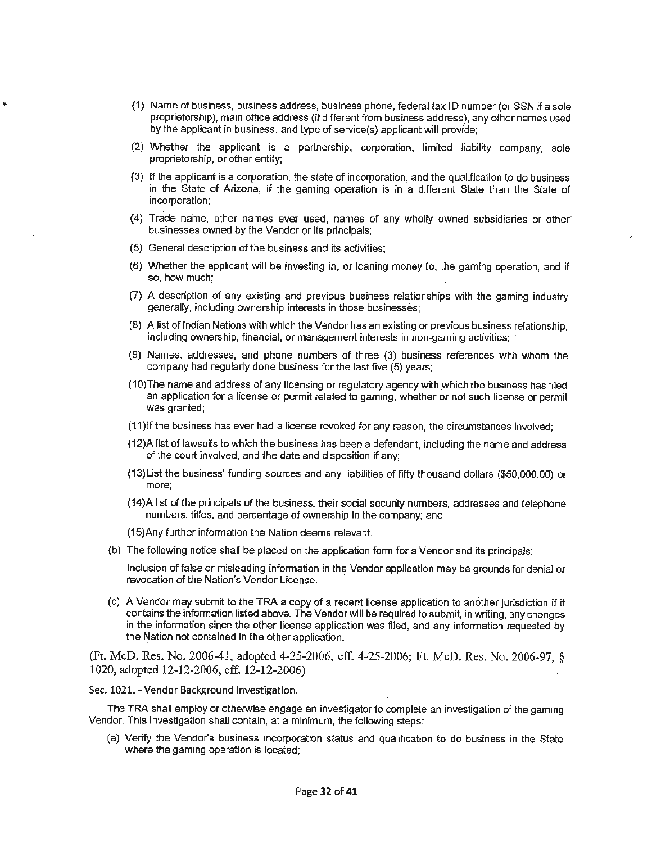- (1) Name of business, business address, business phone, federal tax ID number (or SSN if a sole proprietorship), main office address (if different from business address), any other names used by the applicant in business, and type of service(s} applicant will provide;
- (2) Whether the applicant is a partnership, corporation, limited liability company, sole proprietorship, or other entity;
- {3) If the applicant is a corporation, the state of incorporation, and the qualification to do business in the State of Arizona, if the gaming operation is in a different State than the State of incorporation; \_
- (4) Trade· name, other names ever used, names of any wholly owned subsidiaries or other businesses owned by the Vendor or its principals;
- (5) General description of the business and its activities;

ķ,

- (6) Whether the applicant will be investing in, or loaning money to, the gaming operation, and if so, how much;
- (7) A description of any existing and previous business relationships with the gaming industry generally, including ownership interests in those businesses;
- (8) A list of Indian Nations with which the Vendor has an existing or previous business relationship, including ownership, financial, or management interests in non-gaming activities;
- (9) Names, addresses, and phone numbers of three (3) business references with whom the company had regularly done business for the last five (5) years;
- (10) The name and address of any licensing or regulatory agency with which the business has filed an application for a license or permit related to gaming, whether or not such license or permit was granted;
- (11 )If the business has ever had a license revoked for any reason, the circumstances involved;
- {12)A fist of lawsuits to which the business has been a defendant, including the name and address of the court involved, and the date and disposition if any;
- (13)List the business' funding sources and any liabilities of fifty thousand dollars (\$50,000.00) or more;
- (14)A list of the principals of the business, their social security numbers, addresses and telephone numbers, titles, and percentage of ownership in the company; and
- (15)Any further information the Nation deems relevant.
- (b) The following notice shall be placed on the application form for a Vendor and its principals:

Inclusion of false or misleading infonnation in the Vendor application may be grounds for denial or revocation of the Nation's Vendor License.

(c) A Vendor may submit to the TRA a copy of a recent license application to another jurisdiction if it contains the information listed above. The Vendor will be required to submit, in writing, any changes in the information since the other license application was filed, and any information requested by the Nation not contained in the other application.

(Ft. McD. Res. No. 2006-41, adopted 4-25-2006, eff. 4-25-2006; Ft. McD. Res. No. 2006-97, § 1020, adopted 12-12-2006, eff. 12-12-2006)

Sec. 1021. - Vendor Background Investigation.

The TRA shall employ or otherwise engage an investigator 1o complete an investigation of the gaming Vendor. This investigation shall contain, at a minimum, the following steps:

(a) Verify the Vendor's business incorporation status and qualification to do business in the State where the gaming operation is located;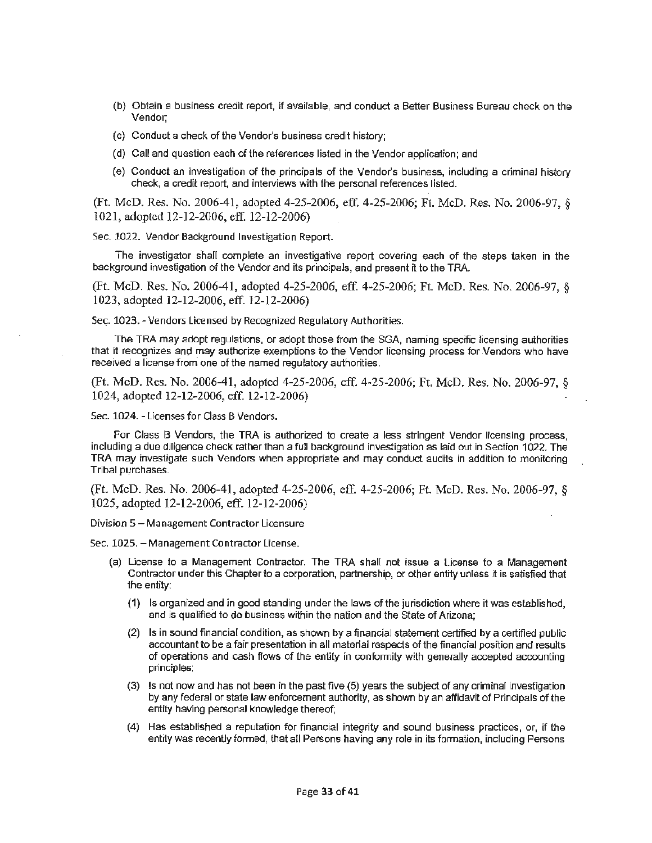- (b) Obtain a business credit report, if available, and conduct a Better Business Bureau check on the Vendor;
- (c) Conduct a check of the Vendor's business credit history;
- (d) Call and question each of the references listed in the Vendor application; and
- (e) Conduct an investigation of the principals of the Vendor's business, including a criminal history check, a credit report, and interviews with the personal references listed.

(Ft. McD. Res. No. 2006-41, adopted 4-25-2006, eff. 4-25-2006; Ft. McD. Res. No. 2006-97, § 1021, adopted 12-12-2006, eff. 12-12-2006)

Sec. 1022. Vendor Background Investigation Report.

The investigator shall complete an investigative report covering each of the steps taken in the background investigation of the Vendor and its principals, and present it to the TRA.

(Ft. McD. Res. No. 2006-41, adopted 4-25-2006, eff. 4-25-2006; Ft. McD. Res. No. 2006-97, § 1023, adopted 12-12-2006, eff. 12-12-2006)

Sec. 1023. - Vendors Licensed by Recognized Regulatory Authorities.

The TRA may adopt regulations, or adopt those from the SGA, naming specffic licensing authorities that it recognizes and may authorize exemptions to the Vendor licensing process for Vendors who have received a license from one of the named regulatory authorities.

(Ft. McD. Res. No. 2006-41, adopted 4-25-2006, eff. 4-25-2006; Ft. McD. Res. No. 2006-97, § 1024, adopted 12-12-2006, eff. 12-12-2006)

Sec. 1024. - Licenses for Class B Vendors.

For Class B Vendors, the TRA is authorized to create a less stringent Vendor licensing process, including a due diligence check rather than a full background investigation as laid out in Section 1022. The TRA may investigate such Vendors when appropriate and may conduct audits in addition to monitoring Tribal purchases.

(Ft. McD. Res. No. 2006-41, adopted 4-25-2006, eff. 4-25-2006; Ft. McD. Res. No. 2006-97, § 1025, adopted 12-12-2006, eff. 12-12-2006)

Division 5 - Management Contractor Licensure

Sec. 1025. - Management Contractor License.

- (a) License to a Management Contractor. The TRA shall not issue a License to a Management Contractor under this Chapter to a corporation, partnership, or other entity unless it is satisfied that the entity:
	- (1) Is organized and in good standing under the laws of the jurisdiction where it was established, and is qualified to do business within the nation and the State of Arizona;
	- (2) Is in sound financial condition, as shown by a financial statement certified by a certified public accountant to be a fair presentation in all material respects of the financial position and results of operations and cash flows of the entity in conformity with generally accepted accounting principles;
	- (3) Is not now and has not been in the past five (5) years the subject of any criminal investigation by any federal or state law enforcement authority, as shown by an affidavit of Principals of the entity having personal knowledge thereof;
	- (4) Has established a reputation for financial integrity and sound business practices, or, if the entity was recently formed, that all Persons having any role in its fonnation, including Persons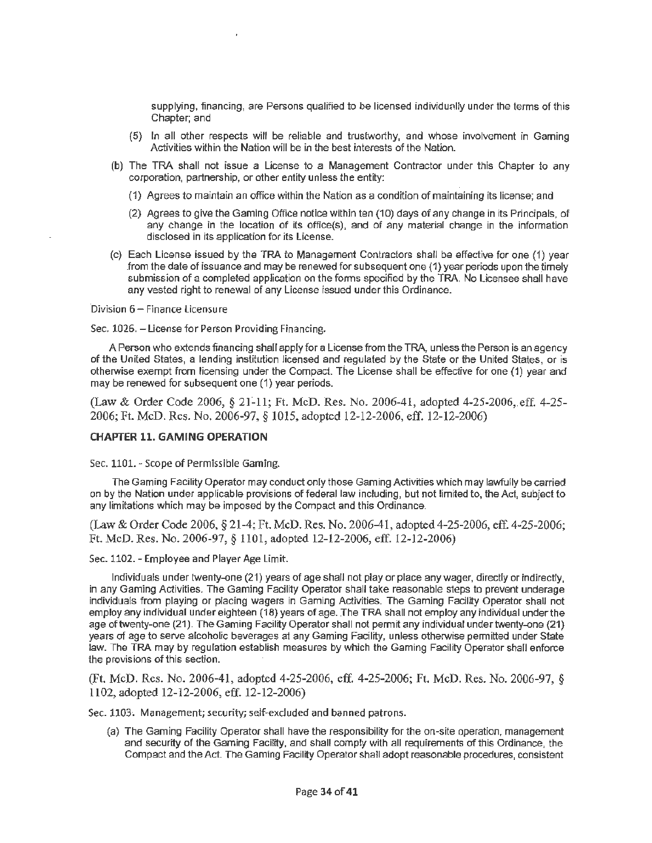supplying, financing, are Persons qualified to be licensed individually under the terms of this Chapter; and

- (5) In all other respects will be reliable and trustworthy, and whose involvement in Gaming Activities within the Nation will be in the best interests of the Nation.
- (b) The TRA shall not issue a License to a Management Contractor under this Chapter to any corporation, partnership, or other entity unless the entity:
	- ( 1) Agrees to maintain an office within the Nation as a condition of maintaining its license; and
	- (2) Agrees to give the Gaming Office notice within ten (10) days of any change in its Principals, of any change in the location of its office(s), and of any material change in the information disclosed in its application for its License.
- (c) Each License issued by the TRA *to* Management Contractors shall be effective for one (1) year from the date of issuance and may be renewed for subsequent one (1) year periods upon the timely submission of a completed application on the forms specified by the TRA. No Licensee shall have any vested right to renewal of any License issued under this Ordinance.

Division 6 - Finance Licensure

Sec. 1026. - License for Person Providing Financing.

A Person who extends financing shall apply for a License from the TRA, unless the Person is an agency of the United States, a lending institution licensed and regulated by the State or the United States, or is otherwise exempt from licensing under the Compact. The License shall be effective for one (1) year and may be renewed for subsequent one (1) year periods.

(Law & Order Code 2006, § 2f-ll; Ft. McD. Res. No. 2006-41, adopted 4-25-2006,.eff. 4-25- 2006; Ft. McD. Res. No. 2006-97, § 1015, adopted 12-12-2006, eff. 12-12-2006)

## **CHAPTER 11. GAMING OPERATION**

Sec. 1101. - Scope of Permissible Gaming.

The Gaming Facility Operator may conduct only those Gaming Activities which may lawfully be carried on by the Nation under applicable provisions of federal law including, but not limited to, the Act, subject to any limitations which may be imposed by the Compact and this Ordinance.

(Law & Order Code 2006, § 21-4; Ft. McD. Res. No. 2006-41, adopted 4-25-2006, eff. 4-25-2006; Ft. McD. Res. No. 2006-97, § 1101, adopted 12-12-2006, eff. 12-12-2006)

Sec. 1102. - Employee and Player Age Limit.

Individuals under twenty-one (21) years of age shall not play or place any wager, directly or indirectly, in any Gaming Activities. The Gaming Facility Operator shall take reasonable steps to prevent underage individuals from playing or placing wagers in Gaming Activities. The Gaming Facility Operator shall not employ any individual under eighteen (18) years of age. The TRA shall not employ any individual under the age of twenty-one (21). The Gaming Facility Operator shall not permit any individual under twenty-one (21) years of age to serve alcoholic beverages at any Gaming Facility, unless otherwise permitted under State law. The TRA may by regulation establish measures by which the Gaming Facility Operator shall enforce the provisions of this section.

(Ft. McD. Res. No. 2006-41, adopted 4-25-2006, eff. 4-25-2006; Ft. McD. Res. No. 2006-97, § 1102, adopted 12-12-2006, eff. 12-12-2006)

Sec. 1103. Management; security; self-excluded and banned patrons.

(a) The Gaming Facility Operator shall have the responsibility for the on-site operation, management and security of the Gaming Facility, and shall comply with all requirements of this Ordinance, the Compact and the Act. The Gaming Facility Operator shall adopt reasonable procedures, consistent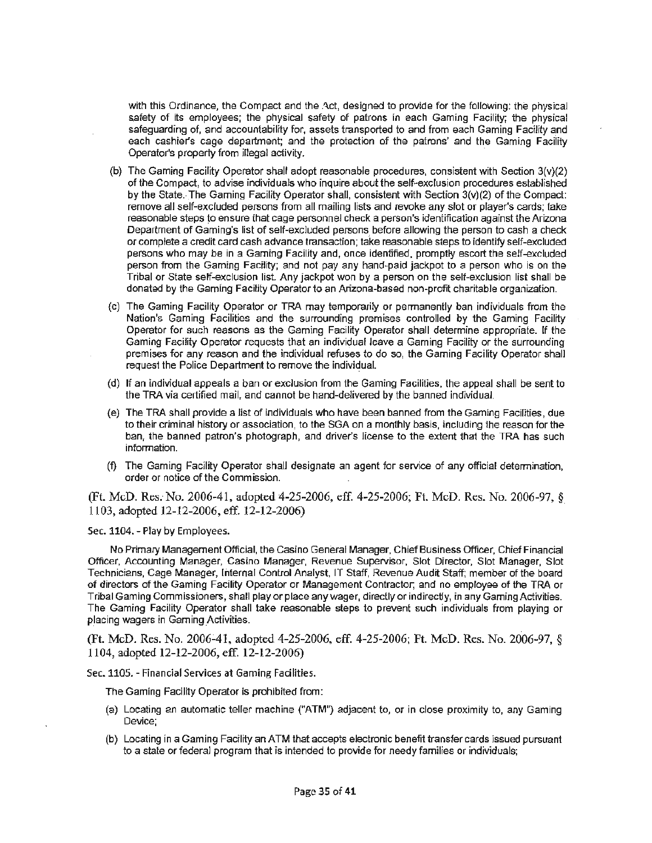with this Ordinance, the Compact and the Act, designed to provide for the following; the physical safety of its employees; the physical safety of patrons in each Gaming Facility; the physical safeguarding of, and accountability for, assets transported to and from each Gaming Facility and each cashier's cage department; and the protection of the patrons' and the Gaming Faciiity Operator's property from illegal activity.

- (b) The Gaming Facility Operator shall adopt reasonable procedures, consistent with Section 3(v}(2) of the Compact, to advise individuals who inquire about the self-exclusion procedures established by the State. The Gaming Facility Operator shall, consistent with Section 3(v)(2) of the Compact: remove all self-excluded persons from all mailing lists and revoke any slot or player's cards; take reasonable steps to ensure that cage personnel check a person's identification against the Arizona Department of Gaming's list of self-excluded persons before allowing the person to cash a check or complete a credit card cash advance transaction; take reasonable steps to identify self-excluded persons who may be in a Gaming Facility and, once identified, promptly escort the self-excluded person from the Gaming Facility; and not pay any hand~paid jackpot to a person who is on the Tribal or State self-exclusion list. Any jackpot won by a person on the self-exclusion list shall be donated by the Gaming Facility Operator 1o an Arizona-based non-profit charitable organization.
- (c) The Gaming Facility Operator or TRA may temporarily or permanently ban individuals from the Nation's Gaming Facilities and the surrounding premises controlled by the Gaming Facility Operator for such reasons as the Gaming Facility Operator shall determine appropriate. If the Gaming Facility Operator requests that an individual leave a Gaming Facility or the surrounding premises for any reason and the individual refuses to do so, the Gaming Facility Operator shall request the Police Department to remove the individual.
- (d) If an individual appeals a ban or exclusion from the Gaming Facilities, the appeal shall be sent to the TRA via certified mail, and cannot be hand-delivered by the banned individual.
- {e) The TRA shall provide a list of individuals who have been banned from the Gaming Facilities, due to their criminal history or association, to the SGA on a monthly basis, including the reason for the ban, the banned patron's photograph, and driver's license to the extent that the TRA has such infomiation.
- (f) The Gaming Facility Operator shall designate an agent for service of any official determination, order or notice of the Commission.

(Ft. McD. Res. No. 2006-41, adopted 4-25-2006, eff. 4-25-2006; Ft. McD. Res. No. 2006-97, § 1103, adopted 12-12-2006, eff. 12-12-2006)

Sec. 1104. - Play by Employees.

No Primaiy Management Official, the Casino General Manager, Chief Business Officer, Chief Financial Officer, Accounting Manager, Casino Manager, Revenue Supervisor, Slot Director, Slot Manager, Slot Technicians, Cage Manager, Internal Control Analyst, IT Staff, Revenue Audit Staff; member of the board of directors of the Gaming Facility Operator or Management Contractor; and no employee of the TRA or Tribal Gaming Commissioners, shall play or place any wager, directly or indirectly, in any Gaming Activities. The Gaming Facility Operator shall take reasonable steps to prevent such individuals from playing or placing wagers in Gaming Activities.

(Ft. McD. Res. No. 2006-Al, adopted 4-25-2006, eff. 4-25-2006; Ft. McD. Res. No\_ 2006-97, § 1104, adopted 12-12-2006, eff. 12-12-2006)

Sec. 1105. - Financial Services at Gaming Facilities.

The Gaming Facility Operator is prohibited from:

- (a) Locating an automatic teller machine {"ATM") adjacent to, or in close proximity to, any Gaming Device;
- (b) Locating in a Gaming Facility an ATM that accepts electronic benefit transfer cards issued pursuant to a state or federal program that is intended to provide for needy families or individuals;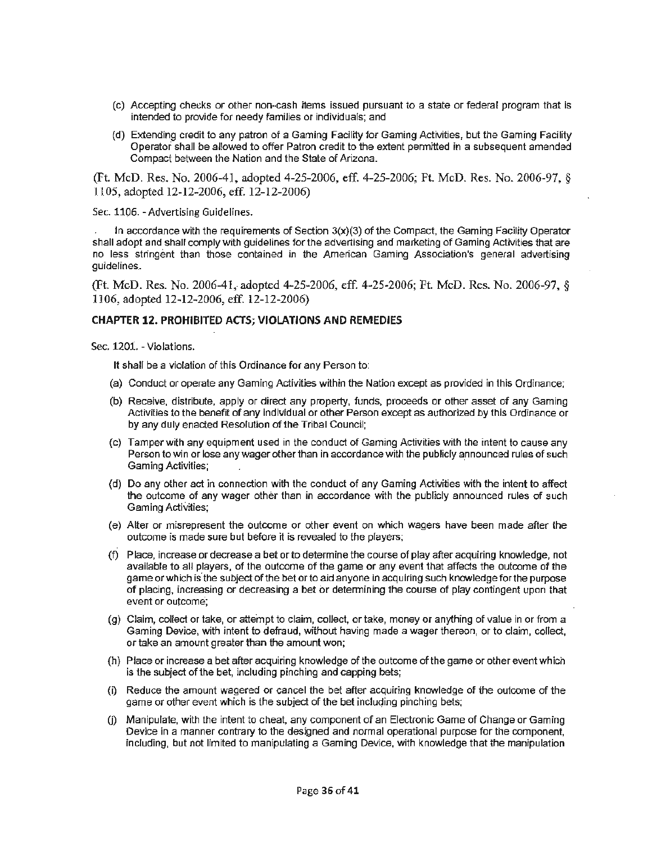- (c) Accepting checks or other non-cash items issued pursuant to a state or federal program that is intended to provide for needy families or individuals; and
- (d) Extending credit to any patron of a Gaming Facility for Gaming Activities, but the Gaming Facility Operator shall be allowed to offer Patron credit to the extent permitted in a subsequent amended Compact between the Nation and the State of Arizona.

(Ft. McD. Res. No. 2006-41, adopted 4-25-2006, eff. 4-25-2006; Ft. McD. Res. No. 2006-97, § ll 05, adopted 12-12-2006, eff. 12-12-2006)

Sec. 1106. - Advertising Guidelines.

In accordance with the requirements of Section  $3(x)(3)$  of the Compact, the Gaming Facility Operator shall adopt and shall comply with guidelines for the advertising and marketing of Gaming Activities that are no less stringent than those contained in the American Gaming Association's general advertising guidelines.

(Ft. McD. Res. No. 2006-41, adopted 4-25-2006, eff. 4-25-2006; Ft. McD. Res. No. 2006-97, § 1106, adopted 12-12-2006, eff. 12-12-2006)

#### **CHAPTER 12. PROHIBITED ACTS; VIOLATIONS AND REMEDIES**

Sec. 1201. - Violations.

It shall be a violation of this Ordinance for any Person to:

- (a) Conduct or operate any Gaming Activities within the Nation except as provided in this Ordinance;
- (b) Receive, distribute, apply or direct any property, funds, proceeds or other asset of any Gaming Activities to the benefit of any individual or other Person except as authorized by this Ordinance or by any duly enacted Resolution of the Tribal Council;
- (c) Tamper with any equipment used in the conduct of Gaming Activities with the intent to cause any Person to win or lose any wager other than in accordance with the publicly announced rules of such Gaming Activities;
- (d) Do any other act in connection with the conduct of any Gaming Activities with the intent to affect the outcome of any wager other than in accordance with the publicly announced rules of such Gaming Activities;
- (e) Alter or misrepresent the outcome or other event on which wagers have been made after the outcome is made sure but before it is revealed to the players;
- (f) Place, increase or decrease a bet or to determine the course of play after acquiring knowledge, not available to all players, of the outcome of the game **or** any event that affects the outcome of the game or which is the subject of the bet or to aid anyone in acquiring such knowledge for the purpose of placing, increasing or decreasing a bet or determining the course of play contingent upon that event or outcome;
- (g) Claim, collect or take, or attempt to claim, collect, or take, money or anything of value in or from a Gaming Device, with intent to defraud, without having made a wager thereon, or to claim, collect, or take an amount greater than the amount won;
- (h) Place or increase a bet after acquiring knowledge of the outcome of the game or other event which is the subject of the bet, including pinching and capping bets;
- (i) Reduce the amount wagered or cancel the bet after acquiring knowledge of the outcome of the game or other event which is the subject of the bet including pinching bets:
- U) Manipulate, with the intent to cheat, any component of an Electronic Game of Change or Gaming Device in a manner contrary to the designed and normal operational purpose for the component, including, but not limited to manipulating a Gaming Device, with knowledge that the manipulation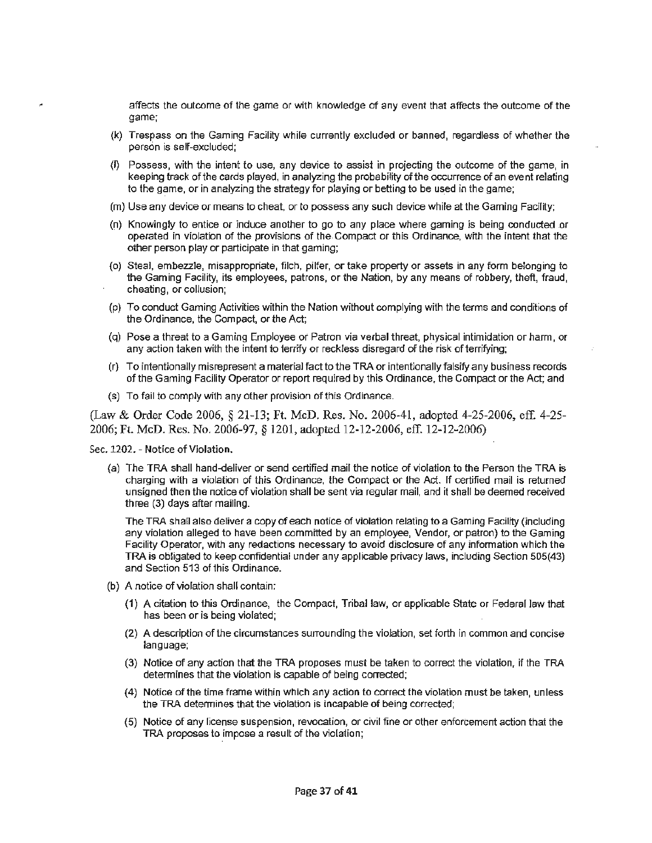affects the outcome of the game or with knowledge of any event that affects the outcome of the game;

- (k) Trespass on the Gaming Facility while currently excluded or banned, regardless of whether the person is self-excluded:
- (I) Possess, with the intent to use, any device to assist in projecting the outcome of the game, in keeping track of the cards played, in analyzing the probability of the occurrence of an event relating to the game, or in analyzing the strategy for playing or betting to be used in the game;
- (m) Use any device or means to cheat, or to possess any such device while at the Gaming Facility;
- (n) Knowingly to entice or induce another to go to any place where gaming is being conducted or operated in violation of the provisions of the Compact or this Ordinance, with the intent that the other person play or participate in that gaming;
- (o) Steal. embezzle, misappropriate, filch. pilfer, or take property or assets in any form belonging to the Gaming Facility, its employees, patrons, or the Nation, by any means of robbery, theft, fraud, cheating, or collusion;
- (p) To conduct Gaming Activities within the Nation without complying with the terms and conditions of the Ordinance, the Compact, or the Act;
- (q) Pose a threat to a Gaming Employee or Patron via verbal threat. physical intimidation or harm, or any action taken with the intent to terrify or reckless disregard of the risk of terrifying;
- (r} To intentionally misrepresent a material fact to the TRA or intentionally falsify any business records of the Gaming Facility Operator or report required by this Ordinance, the Compact or the Act; and
- (s) To fail to comply with any other provision of this Ordinance.

(Law & Order Code 2006, § 21-13; Ft. McD. Res. No. 2006-41, adopted 4-25-2006, eff. 4-25- 2006; Ft. McD. Res. No. 2006-97, § 1201, adopted 12-12-2006, eff. 12-12-2006)

Sec. 1202. - Notice of Violation.

{a) The TRA shall hand-deliver or send certified mail the notice of violation to the Person the TRA is charging with a violation of this Ordinance, the Compact or the Act. If certified mail is returned unsigned then the notice of violation shall be sent via regular mail, and it shall be deemed received three (3) days after mailing.

The TRA shall also deliver a copy of each notice of violation relating to a Gaming Facility (including any violation alleged to have been committed by an employee, Vendor, or patron) to the Gaming Facility Operator, with any redactions necessary to avoid disclosure of any information which the TRA is obligated *to* keep confidential under any applicable privacy Jaws, including Section 505(43) and Section 513 of this Ordinance.

- (b) A notice of violation shall contain:
	- (1) A citation to this Ordinance, the Compact, Tribal law, or applicable State or Federal law that has been or is being violated;
	- (2) A description of the circumstances surrounding the violation, set forth in common and concise language;
	- (3) Notice of any action that the TRA proposes must be taken to correct the violation, if the TRA detennines that the violation is capable of being corrected;
	- (4) Notice of the time frame within which any action to correct the violation must be taken, unless the TRA determines that the violation is incapable of being corrected;
	- (5) Notice of any license suspension, revocation, or civil fine or other enforcement action that the TRA proposes to impose a result of the violation;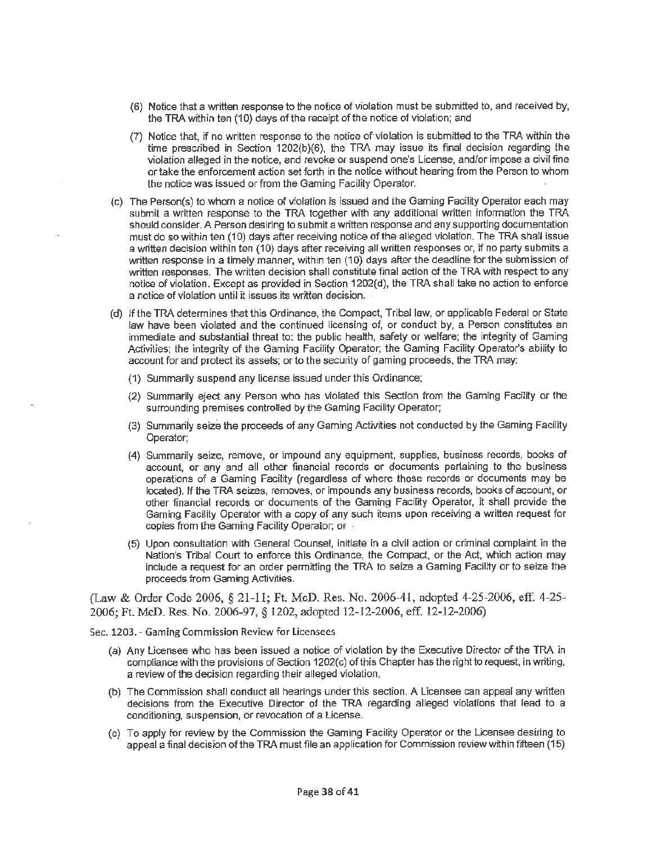- (6) Notice that a written response to the notice of violation must be submitted to, and received by, the TRA within ten (10) days of the receipt of the notice of violation; and
- (7) Notice that, if no written response to the notice of-violation is submitted to the TRA within the time prescribed in Section 1202(b)(6), the TRA may issue its final decision regarding the violation alleged in the notice, and revoke or suspend one's License, and/or impose a civil fine or take the enforcement action set forth in the notice without hearing from the Person to whom the notice was issued or from the Gaming Facility Operator.
- (c) The Person(s) to whom a notice of violation is issued and the Gaming Facility Operator each may submit a written response to the TRA together with any additional written information the TRA should consider. A Person desiring to submit a written response and any supporting documentation must do so within ten (10) days after receiving notice of the alleged violation. The TRA shall issue a written decision within ten (10) days after receiving all written responses or, if no party submits a written response in a timely manner, within ten (10) days after the deadline for the submission of written responses. The written decision shall constitute final action of the TRA with respect to any notice of violation. Except as provided in Section 1202(d), the TRA shall take no action to enforce a notice of violation until it issues its written decision.
- (d) Jf the TRA determines that this Ordinance, the Compact, Tribal law, or applicable Federal or State law have been. violated and the continued licensing of, or conduct by, a Person constitutes an immediate and substantial threat to: the public health, safety or welfare; the integrity of Gaming Activities; the integrity of the Gaming Facility Operator; the Gaming Facility Operator's ability to account for and protect its assets; or to the security of gaming proceeds, the TRA may:
	- (1) Summarily suspend any license issued under this Ordinance;
	- (2} Summarily eject any Person who has violated this Section from the Gaming Facility or the surrounding premises controlled by the Gaming Facility Operator;
	- (3) Summarily seize the proceeds of any Gaming Activities not conducted by the Gaming Facility Operator;
	- (4} Summarily seize, remove, or impound any equipment. supplies, business records, books of account, or any and all other financial records or documents pertaining to the business operations of a Gaming Facility (regardless of where those records or documents may be located). If the TRA seizes, removes, or impounds any business records, books of account, or other financial records or documents of the Gaming Facility Operator, it shall provide the Gaming Facility Operator with a copy of any such items upon receiving a written request for copies from the Gaming Facility Operator; or
	- (5) Upon consultation with General Counsel, initiate in a civil action or criminal complaint in the Nation's Tribal Court to enforce this Ordinance, the Compact, or the Act, which action may include a request for an order permitting the TRA to seize a Gaming Facility or to seize the proceeds from Gaming Activities.

(Law & Order Code 2006, § 21-11; Ft. McD. Res. No. 2006-41, adopted 4-25-2006, eff. 4-25~ 2006; Ft. McD. Res. No. 2006-97, § 1202, adopted 12-12-2006, eff. 12-12-2006)

Sec. 1203. - Gaming Commission Review for Licensees

- (a) Any Licensee who has been issued a notice of violation by the Executive Director of the TRA in compliance with the provisions of Section 1202(c) **of** this Chapter has the right to request, in writing, a review of the decision regarding their alleged violation,
- (b} The Commission shall conduct all hearings under this section. A Licensee can appeal any written decisions from the Executive Director of the TRA regarding alleged violations that lead to a conditioning, suspension, or revocation of a License.
- (c) To apply for review by the Commission the Gaming Facility Operator or the Licensee desiring to appeal a final decision of the TRA must file an application for Commission review within fifteen (15)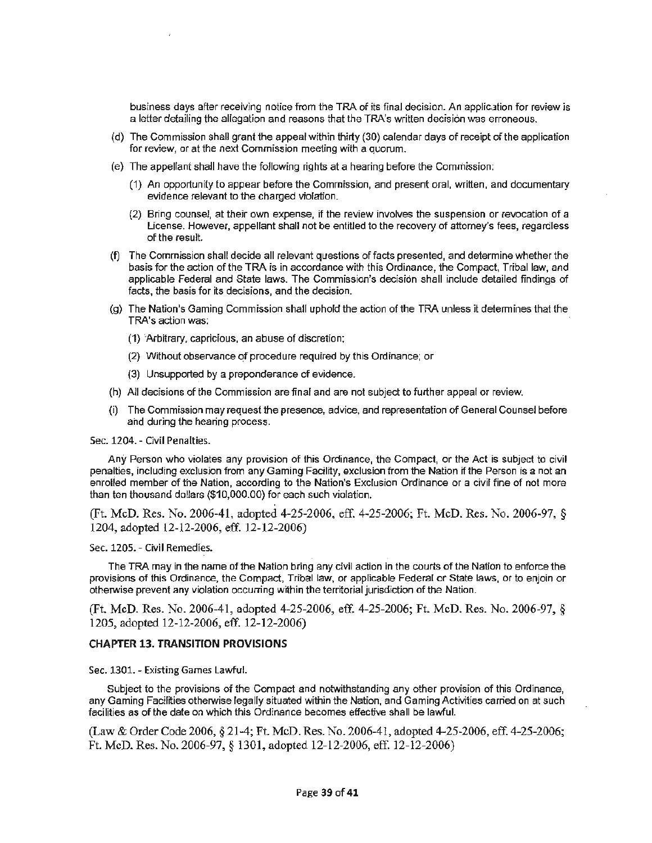business days after receiving notice from the TRA of its final decision. An application for review is a letter detailing the allegation and reasons that the TRA's written decision was erroneous.

- ( d) The Commission shall grant the appeal within thirty (30) calendar days of receipt of the application for review, or at the next Commission meeting with a quorum.
- (e} The appellant shall have the following rights at a hearing before the Commission:
	- (1) An opportunity to appear before the Commission, and present oral, written, and documentary evidence relevant to the charged violation.
	- (2) Bring counsel, at their own expense, if the review involves the suspension or revocation of a License. However, appellant shall not be entitled to the recovery of attorney's fees, regardless of the result.
- (f) The Commission shall decide al I relevant questions of facts presented, and determine whether the basis for the action of the **TRA is** in accordance with this Ordinance, the Compact, Tribal law, and applicable Federal and State laws. The Commission's decision shall include detailed findings of facts, the basis for its decisions, and the decision.
- $(q)$  The Nation's Gaming Commission shall uphold the action of the TRA unless it determines that the TRA's action was:
	- **(1)** 'Arbitrary, capricious, an abuse of discretion;
	- (2} Without observance of procedure required by this Ordinance; **or**
	- (3) Unsupported by a preponderance of evidence.
- (h) All decisions of the Commission are final and are not subject to further appeal or review.
- The Commission may request the presence, advice, and representation of General Counsel before and during the hearing process.

Sec. 1204. - Civil Penalties.

Any Person who violates any provision of this Ordinance, the Compact, or the Act is subject to civil penalties, including exclusion from any Gaming Facility, exclusion from the Nation if the Person is a not an enrolled member of the Nation, according fo the Nation's Exclusion Ordinance or a civil fine of not more than ten thousand dollars (\$10,000.00) for each such violation.

(Ft. McD. Res. No. 2006-41, adopted 4-25-2006, eff. 4-25-2006; Ft. McD. Res. No. 2006-97, § 1204, adopted 12-12-2006, eff. 12-12-2006)

#### Sec. 1205. - Civil Remedies.

The TRA may in the name of the Nation bring any civil action in the courts of the Nation to enforce the provisions of this Ordinance, the Compact, Tribal law, or applicable Federal or State laws, or to enjoin or otherwise prevent any violation occurring within the territorial jurisdiction of the Nation.

(Ft. McD. Res. No. 2006-41, adopted 4-25-2006, eff. 4-25-2006; Ft. McD. Res. No. 2006-97, § 1205, adopted 12-12-2006, eff. 12-12-2006)

#### **CHAPTER 13. TRANSITION PROVISIONS**

Sec. 1301. - Existing Games Lawful.

Subject to the provisions of the Compact and notwithstanding any other provision of this Ordinance, any Gaming Facilities otherwise legally situated within the Nation, and Gaming Activities carried on at such facilities as of the date on which this Ordinance becomes effective shall be lawful.

(Law & Order Code 2006, § 21-4; Ft. McD. Res. No. 2006-41, adopted 4-25-2006, eff. 4-25-2006; Ft. McD. Res. No. 2006-97, § 1301, adopted 12-12-2006, eff. 12-12-2006)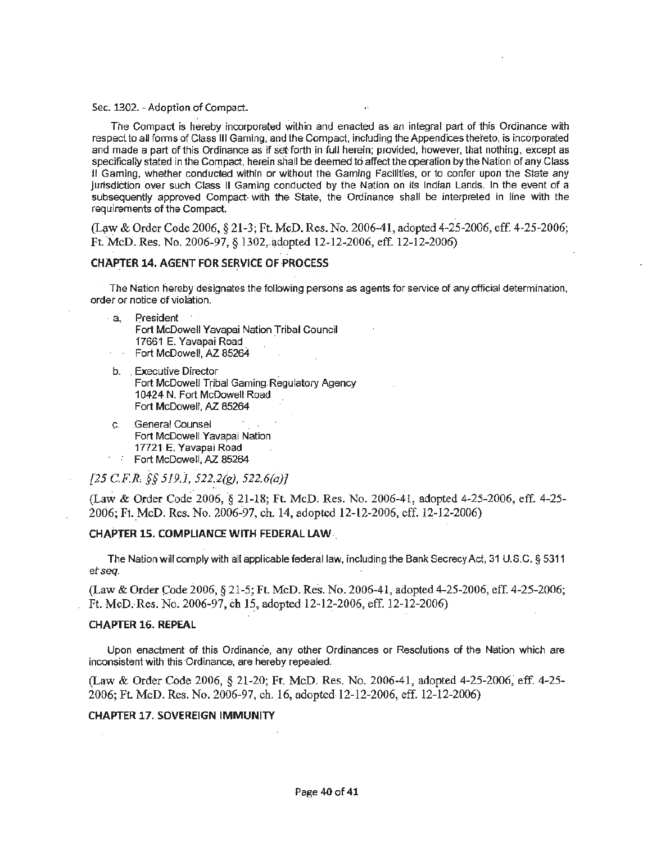#### Sec. 1302. - Adoption of Compact.

The Compact is hereby incorporated within and enacted as an integral part of this Ordinance with respect to all forms of Class Ill Gaming, and the Compact, including the Appendices the"reto, is incorporated and made a part of this Ordinance as if set forth in full herein: provided, however, that nothing, except as specifically stated in the Compact, herein sliall be deemed to affect the operation by the Nation of any Class II Gaming, whether conducted within or without the Gaming Facilities, or to confer upon the State any jurisdiction over such Class II Gaming conducted by the Nation on its Indian Lands. In the event of a subsequently approved Compact- with the State, the Ordinance shall be interpreted in line with the requirements of the Compact.

*(L~".V* & Order Code 2006, § 21-3; Ft. McD. Res. No. 2006-41, adopted 4-25-2006, eff 4-25-2006; Ft. McD. Res. No. 2006-97, § 1302, adopted 12-12-2006, eff. 12-12-2006)

# **CHAPTER 14. AGENT FOR SERVICE OF PROCESS**

The Nation hereby designates the following persons as agents for service of any official determination, order or notice of violation.

- · a.. President Fort McDowell Yavapai Nation Tribal Council 17661 E. Yavapai Road · Fort McDowell, AZ 85264
- b. . Executive Director . Fort McDowell Tribal Gaming Regulatory Agency 10424 N. Fort McQowell Road. Fort McDowell, *AZ.* 85264
- c. .General Counsel Fort McDowell Yavapai Nation 17721 E. Yavapai Road  $\tau = 2\pi$ Fort McDowell, *AZ.* 85264

*[25 CF.R, §§ 519.1, 522.2(g), 522.6(a)J* 

(Law & Order Code.2006, § 21-18; Ft. McD. Res. No. 2006-41, adopted 4-25-2006, eff. 4-25- 2006; Ft. McD. Res. No. 2006-97, ch. 14, adopted 12-12-2006, cff. 12-12-2006)

#### **CHAPTER 15. COMPLIANCE WITH FEDERAL LAW-**

The Nation will comply with all applicable federal law, including the Bank Secrecy Act, 31 U.S.C. § 5311 e*t seq.* 

(Law & Order Code 2006, § 21-5; Ft. McD. Res. No. 2006-41, adopted 4-25-2006, eff. 4-25-2006; Ft. McD.-Res. No. 2006-97, ch 15, adopted 12-12-2006, eff. 12-12-2006)

#### **CHAPTER 16. REPEAL**

Upon enactment of this Ordinance, any other Ordinances or Resolutions of the Nation which are inconsistent with this Ordinance, are hereby repealed.

(Law & Order Code 2006, § 21-20; Ft. McD. Res. No. 2006-41, adopted 4-25-2006; eff. 4-25- 2006; Ft. McD. Res. No. 2006-97, ch.16, adopted 12-12-2006, eff. 12-12-2006)

#### **CHAPTER 17. SOVEREIGN IMMUNITY**